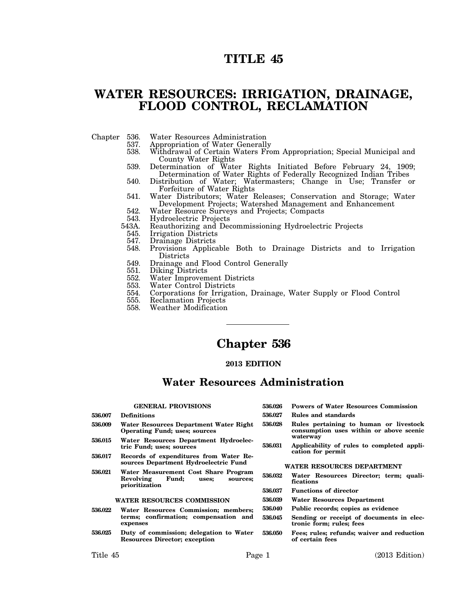# **TITLE 45**

## **WATER RESOURCES: IRRIGATION, DRAINAGE, FLOOD CONTROL, RECLAMATION**

- 
- Chapter 536. Water Resources Administration
	- 537. Appropriation of Water Generally<br>538. Withdrawal of Certain Waters Fro
	- Withdrawal of Certain Waters From Appropriation; Special Municipal and County Water Rights
	- 539. Determination of Water Rights Initiated Before February 24, 1909; Determination of Water Rights of Federally Recognized Indian Tribes
	- 540. Distribution of Water; Watermasters; Change in Use; Transfer or Forfeiture of Water Rights
	- 541. Water Distributors; Water Releases; Conservation and Storage; Water Development Projects; Watershed Management and Enhancement
	- 542. Water Resource Surveys and Projects; Compacts
	- 543. Hydroelectric Projects<br>543A. Reauthorizing and Dec
	- 13A. Reauthorizing and Decommissioning Hydroelectric Projects<br>545. Irrigation Districts
		- Irrigation Districts
		-
		- 547. Drainage Districts<br>548. Provisions Applica 548. Provisions Applicable Both to Drainage Districts and to Irrigation Districts
		- 549. Drainage and Flood Control Generally<br>551. Diking Districts
		- Diking Districts
		- 552. Water Improvement Districts
		- 553. Water Control Districts<br>554. Corporations for Irrigati
	- 554. Corporations for Irrigation, Drainage, Water Supply or Flood Control
	- 555. Reclamation Projects<br>558. Weather Modification
	- 558. Weather Modification

# **Chapter 536**

## **2013 EDITION**

## **Water Resources Administration**

### **GENERAL PROVISIONS**

**536.009 Water Resources Department Water Right Operating Fund; uses; sources 536.015 Water Resources Department Hydroelec-**

**536.017 Records of expenditures from Water Resources Department Hydroelectric Fund 536.021 Water Measurement Cost Share Program**

**WATER RESOURCES COMMISSION 536.022 Water Resources Commission; members;**

**536.025 Duty of commission; delegation to Water Resources Director; exception**

**Revolving Fund; uses; sources;**

**terms; confirmation; compensation and**

**tric Fund; uses; sources**

**prioritization**

**expenses**

- **536.026 Powers of Water Resources Commission**
- 
- **536.028 Rules pertaining to human or livestock consumption uses within or above scenic waterway**
- **536.031 Applicability of rules to completed application for permit**

## **WATER RESOURCES DEPARTMENT**

- **536.032 Water Resources Director; term; qualifications**
- **536.037 Functions of director**
- **536.039 Water Resources Department**
- **536.040 Public records; copies as evidence**
- **536.045 Sending or receipt of documents in electronic form; rules; fees**
- **536.050 Fees; rules; refunds; waiver and reduction of certain fees**

**536.007 Definitions**

- **536.027 Rules and standards**
- -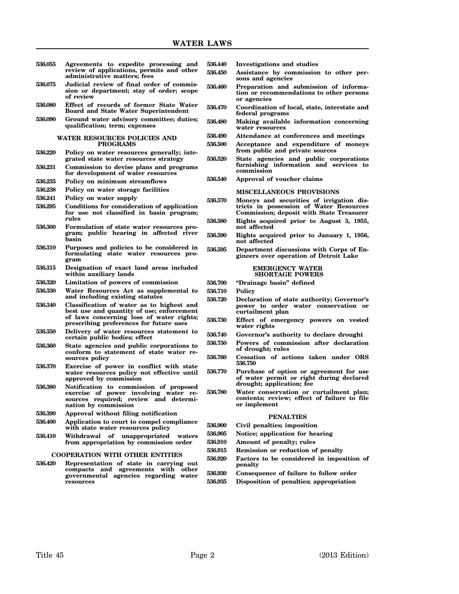| 536.055 | Agreements to expedite processing and<br>review of applications, permits and other                 | 536.440<br>536.450 | In۱<br>Ası                             |
|---------|----------------------------------------------------------------------------------------------------|--------------------|----------------------------------------|
|         | administrative matters; fees                                                                       |                    | sor                                    |
| 536.075 | Judicial review of final order of commis-<br>sion or department; stay of order; scope<br>of review | 536.460            | Pro<br>tio<br>or                       |
| 536.080 | Effect of records of former State Water<br><b>Board and State Water Superintendent</b>             | 536.470            | Co<br>fed                              |
| 536.090 | Ground water advisory committee; duties;<br>qualification; term; expenses                          | 536.480            | Ma<br>wa                               |
|         | WATER RESOURCES POLICIES AND                                                                       | 536.490            | Att                                    |
|         | <b>PROGRAMS</b>                                                                                    | 536.500            | Ac                                     |
| 536.220 | Policy on water resources generally; inte-<br>grated state water resources strategy                | 536.520            | fro<br>$\operatorname{St}_\varepsilon$ |
| 536.231 | Commission to devise plans and programs<br>for development of water resources                      |                    | fur<br><b>COI</b>                      |
| 536.235 | Policy on minimum streamflows                                                                      | 536.540            | Ap                                     |
| 536.238 | Policy on water storage facilities                                                                 |                    | МΙ                                     |
| 536.241 | Policy on water supply                                                                             |                    | Mo                                     |
| 536.295 | Conditions for consideration of application                                                        | 536.570            | tri                                    |
|         | for use not classified in basin program;                                                           |                    | Co                                     |
|         | rules                                                                                              | 536.580            | Rig                                    |
| 536.300 | Formulation of state water resources pro-                                                          |                    | no                                     |
|         | gram; public hearing in affected river<br>basin                                                    | 536.590            | Riş                                    |
| 536.310 | Purposes and policies to be considered in                                                          |                    | no                                     |
|         | formulating state water resources pro-<br>gram                                                     | 536.595            | De<br>gin                              |
| 536.315 | Designation of exact land areas included<br>within auxiliary lands                                 |                    |                                        |
| 536.320 | Limitation of powers of commission                                                                 | 536.700            | "Dı                                    |
| 536.330 | Water Resources Act as supplemental to                                                             | 536.710            | P <sub>o</sub>                         |
|         | and including existing statutes                                                                    | 536.720            | De                                     |
| 536.340 | Classification of water as to highest and                                                          |                    | po                                     |
|         | best use and quantity of use; enforcement<br>of laws concerning loss of water rights;              |                    | cu                                     |
|         | prescribing preferences for future uses                                                            | 536.730            | Eff                                    |
| 536.350 | Delivery of water resources statement to                                                           |                    | wa                                     |
|         | certain public bodies; effect                                                                      | 536.740            | Go                                     |
| 536.360 | State agencies and public corporations to                                                          | 536.750            | $\mathbf{p_{0}}$<br>of                 |
|         | conform to statement of state water re-<br>sources policy                                          | 536.760            | Ce                                     |
| 536.370 | Exercise of power in conflict with state                                                           |                    | 536                                    |
|         | water resources policy not effective until                                                         | 536.770            | Pu                                     |
|         | approved by commission                                                                             |                    | of                                     |
| 536.380 | Notification to commission of proposed                                                             |                    | dro                                    |
|         | exercise of power involving water re-                                                              | 536.780            | Wa<br>CO1                              |
|         | required; review and determi-<br><b>sources</b><br>nation by commission                            |                    | or                                     |
| 536.390 | Approval without filing notification                                                               |                    |                                        |
| 536.400 | Application to court to compel compliance                                                          |                    |                                        |
|         | with state water resources policy                                                                  | 536.900            | Сiу                                    |
| 536.410 | Withdrawal<br>of unappropriated<br>waters                                                          | 536.905            | No                                     |
|         | from appropriation by commission order                                                             | 536.910            | An                                     |
|         | <b>COOPERATION WITH OTHER ENTITIES</b>                                                             | 536.915            | Re                                     |
| 536.420 | Representation of state in carrying out                                                            | 536.920            | Fa                                     |
|         | agreements with<br>compacts and<br>other                                                           |                    | per                                    |
|         | governmental agencies regarding<br>water                                                           | 536.930            | Co                                     |
|         | resources                                                                                          | 536.935            | Dis                                    |

- **536.440 Investigations and studies**
- sistance by commission to other per**sons and agencies**
- **536.460 Preparation and submission of information or recommendations to other persons or agencies**
- **536.470 Coordination of local, state, interstate and** leral programs
- **536.480 Making available information concerning water resources**
- **536.490 Attendance at conferences and meetings**
- **536.500 Acceptance and expenditure of moneys from public and private sources**
- **536.520 State agencies and public corporations furnishing information and services to commission**
	- **536.540 Approval of voucher claims**

#### **SCELLANEOUS PROVISIONS**

- **536.570 Moneys and securities of irrigation districts in possession of Water Resources Commission; deposit with State Treasurer 536.580 Rights acquired prior to August 3, 1955, not affected**
	- **536.590 Rights acquired prior to January 1, 1956, not affected**
- **536.595 Department discussions with Corps of Engineers over operation of Detroit Lake**

#### **EMERGENCY WATER SHORTAGE POWERS**

#### **536.700 "Drainage basin" defined**

- **536.710 Policy**
- **536.720 Declaration of state authority; Governor's power to order water conservation or curtailment plan**
- **536.730 Effect of emergency powers on vested water rights**
- **536.740 Governor's authority to declare drought**
- **536.750 Powers of commission after declaration of drought; rules**
- **536.760 Cessation of actions taken under ORS 536.750**
- **536.770 Purchase of option or agreement for use of water permit or right during declared drought; application; fee**
- **536.780 Water conservation or curtailment plan; contents; review; effect of failure to file or implement**

#### **PENALTIES**

- **536.900 Civil penalties; imposition**
- **536.905 Notice; application for hearing**
- **536.910 Amount of penalty; rules**
- **536.915 Remission or reduction of penalty**
- **536.920 Factors to be considered in imposition of penalty**
- **536.930 Consequence of failure to follow order**
- **536.935 Disposition of penalties; appropriation**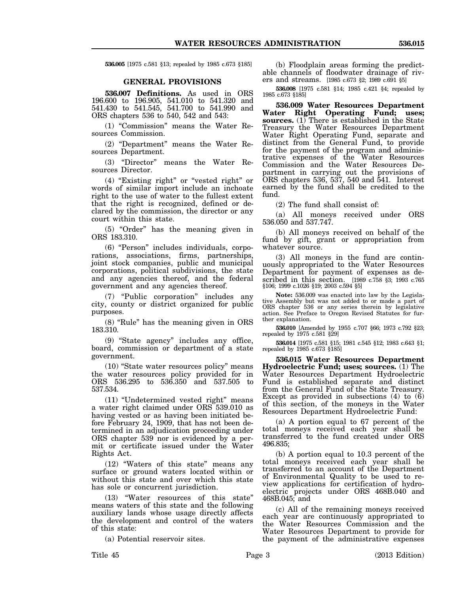**536.005** [1975 c.581 §13; repealed by 1985 c.673 §185]

## **GENERAL PROVISIONS**

**536.007 Definitions.** As used in ORS 196.600 to 196.905, 541.010 to 541.320 and 541.430 to 541.545, 541.700 to 541.990 and ORS chapters 536 to 540, 542 and 543:

(1) "Commission" means the Water Resources Commission.

(2) "Department" means the Water Resources Department.

(3) "Director" means the Water Resources Director.

(4) "Existing right" or "vested right" or words of similar import include an inchoate right to the use of water to the fullest extent that the right is recognized, defined or declared by the commission, the director or any court within this state.

(5) "Order" has the meaning given in ORS 183.310.

(6) "Person" includes individuals, corporations, associations, firms, partnerships, joint stock companies, public and municipal corporations, political subdivisions, the state and any agencies thereof, and the federal government and any agencies thereof.

(7) "Public corporation" includes any city, county or district organized for public purposes.

(8) "Rule" has the meaning given in ORS 183.310.

(9) "State agency" includes any office, board, commission or department of a state government.

(10) "State water resources policy" means the water resources policy provided for in ORS 536.295 to 536.350 and 537.505 to 537.534.

(11) "Undetermined vested right" means a water right claimed under ORS 539.010 as having vested or as having been initiated before February 24, 1909, that has not been determined in an adjudication proceeding under ORS chapter 539 nor is evidenced by a permit or certificate issued under the Water Rights Act.

(12) "Waters of this state" means any surface or ground waters located within or without this state and over which this state has sole or concurrent jurisdiction.

(13) "Water resources of this state" means waters of this state and the following auxiliary lands whose usage directly affects the development and control of the waters of this state:

(a) Potential reservoir sites.

(b) Floodplain areas forming the predictable channels of floodwater drainage of rivers and streams. [1985 c.673 §2; 1989 c.691 §5]

**536.008** [1975 c.581 §14; 1985 c.421 §4; repealed by 1985 c.673 §185]

**536.009 Water Resources Department Water Right Operating Fund; uses; sources.** (1) There is established in the State Treasury the Water Resources Department Water Right Operating Fund, separate and distinct from the General Fund, to provide for the payment of the program and administrative expenses of the Water Resources Commission and the Water Resources Department in carrying out the provisions of ORS chapters 536, 537, 540 and 541. Interest earned by the fund shall be credited to the fund.

(2) The fund shall consist of:

(a) All moneys received under ORS 536.050 and 537.747.

(b) All moneys received on behalf of the fund by gift, grant or appropriation from whatever source.

(3) All moneys in the fund are continuously appropriated to the Water Resources Department for payment of expenses as described in this section. [1989 c.758 §3; 1993 c.765 §106; 1999 c.1026 §19; 2003 c.594 §5]

**Note:** 536.009 was enacted into law by the Legislative Assembly but was not added to or made a part of ORS chapter 536 or any series therein by legislative action. See Preface to Oregon Revised Statutes for further explanation.

**536.010** [Amended by 1955 c.707 §66; 1973 c.792 §23; repealed by 1975 c.581 §29]

**536.014** [1975 c.581 §15; 1981 c.545 §12; 1983 c.643 §1; repealed by 1985 c.673 §185]

**536.015 Water Resources Department Hydroelectric Fund; uses; sources.** (1) The Water Resources Department Hydroelectric Fund is established separate and distinct from the General Fund of the State Treasury. Except as provided in subsections (4) to (6) of this section, of the moneys in the Water Resources Department Hydroelectric Fund:

(a) A portion equal to 67 percent of the total moneys received each year shall be transferred to the fund created under ORS 496.835;

(b) A portion equal to 10.3 percent of the total moneys received each year shall be transferred to an account of the Department of Environmental Quality to be used to review applications for certification of hydroelectric projects under ORS 468B.040 and 468B.045; and

(c) All of the remaining moneys received each year are continuously appropriated to the Water Resources Commission and the Water Resources Department to provide for the payment of the administrative expenses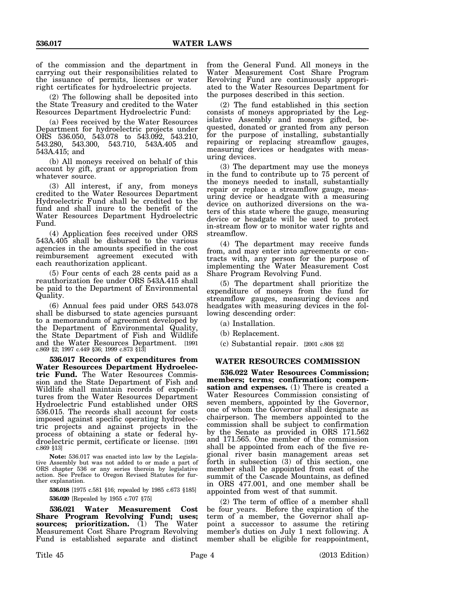of the commission and the department in carrying out their responsibilities related to the issuance of permits, licenses or water right certificates for hydroelectric projects.

(2) The following shall be deposited into the State Treasury and credited to the Water Resources Department Hydroelectric Fund:

(a) Fees received by the Water Resources Department for hydroelectric projects under ORS 536.050, 543.078 to 543.092, 543.210, 543.280, 543.300, 543.710, 543A.405 and 543A.415; and

(b) All moneys received on behalf of this account by gift, grant or appropriation from whatever source.

(3) All interest, if any, from moneys credited to the Water Resources Department Hydroelectric Fund shall be credited to the fund and shall inure to the benefit of the Water Resources Department Hydroelectric Fund.

(4) Application fees received under ORS 543A.405 shall be disbursed to the various agencies in the amounts specified in the cost reimbursement agreement executed with each reauthorization applicant.

(5) Four cents of each 28 cents paid as a reauthorization fee under ORS 543A.415 shall be paid to the Department of Environmental Quality.

(6) Annual fees paid under ORS 543.078 shall be disbursed to state agencies pursuant to a memorandum of agreement developed by the Department of Environmental Quality, the State Department of Fish and Wildlife and the Water Resources Department. [1991 c.869 §2; 1997 c.449 §36; 1999 c.873 §13]

**536.017 Records of expenditures from Water Resources Department Hydroelectric Fund.** The Water Resources Commission and the State Department of Fish and Wildlife shall maintain records of expenditures from the Water Resources Department Hydroelectric Fund established under ORS 536.015. The records shall account for costs imposed against specific operating hydroelectric projects and against projects in the process of obtaining a state or federal hydroelectric permit, certificate or license. [1991 c.869 §13]

**Note:** 536.017 was enacted into law by the Legislative Assembly but was not added to or made a part of ORS chapter 536 or any series therein by legislative action. See Preface to Oregon Revised Statutes for further explanation.

**536.018** [1975 c.581 §16; repealed by 1985 c.673 §185] **536.020** [Repealed by 1955 c.707 §75]

**536.021 Water Measurement Cost Share Program Revolving Fund; uses; sources; prioritization.** (1) The Water Measurement Cost Share Program Revolving Fund is established separate and distinct from the General Fund. All moneys in the Water Measurement Cost Share Program Revolving Fund are continuously appropriated to the Water Resources Department for the purposes described in this section.

(2) The fund established in this section consists of moneys appropriated by the Legislative Assembly and moneys gifted, bequested, donated or granted from any person for the purpose of installing, substantially repairing or replacing streamflow gauges, measuring devices or headgates with measuring devices.

(3) The department may use the moneys in the fund to contribute up to 75 percent of the moneys needed to install, substantially repair or replace a streamflow gauge, measuring device or headgate with a measuring device on authorized diversions on the waters of this state where the gauge, measuring device or headgate will be used to protect in-stream flow or to monitor water rights and streamflow.

(4) The department may receive funds from, and may enter into agreements or contracts with, any person for the purpose of implementing the Water Measurement Cost Share Program Revolving Fund.

(5) The department shall prioritize the expenditure of moneys from the fund for streamflow gauges, measuring devices and headgates with measuring devices in the following descending order:

(a) Installation.

(b) Replacement.

(c) Substantial repair. [2001 c.808 §2]

## **WATER RESOURCES COMMISSION**

**536.022 Water Resources Commission; members; terms; confirmation; compensation and expenses.** (1) There is created a Water Resources Commission consisting of seven members, appointed by the Governor, one of whom the Governor shall designate as chairperson. The members appointed to the commission shall be subject to confirmation by the Senate as provided in ORS 171.562 and 171.565. One member of the commission shall be appointed from each of the five regional river basin management areas set forth in subsection (3) of this section, one member shall be appointed from east of the summit of the Cascade Mountains, as defined in ORS 477.001, and one member shall be appointed from west of that summit.

(2) The term of office of a member shall be four years. Before the expiration of the term of a member, the Governor shall appoint a successor to assume the retiring member's duties on July 1 next following.  $\overline{A}$ member shall be eligible for reappointment,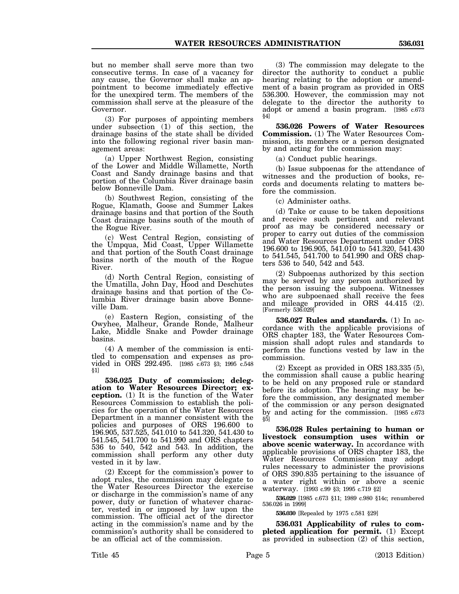but no member shall serve more than two consecutive terms. In case of a vacancy for any cause, the Governor shall make an appointment to become immediately effective for the unexpired term. The members of the commission shall serve at the pleasure of the

(3) For purposes of appointing members under subsection (1) of this section, the drainage basins of the state shall be divided into the following regional river basin management areas:

Governor.

(a) Upper Northwest Region, consisting of the Lower and Middle Willamette, North Coast and Sandy drainage basins and that portion of the Columbia River drainage basin below Bonneville Dam.

(b) Southwest Region, consisting of the Rogue, Klamath, Goose and Summer Lakes drainage basins and that portion of the South Coast drainage basins south of the mouth of the Rogue River.

(c) West Central Region, consisting of the Umpqua, Mid Coast, Upper Willamette and that portion of the South Coast drainage basins north of the mouth of the Rogue River.

(d) North Central Region, consisting of the Umatilla, John Day, Hood and Deschutes drainage basins and that portion of the Columbia River drainage basin above Bonneville Dam.

(e) Eastern Region, consisting of the Owyhee, Malheur, Grande Ronde, Malheur Lake, Middle Snake and Powder drainage basins.

(4) A member of the commission is entitled to compensation and expenses as provided in ORS 292.495. [1985 c.673 §3; 1995 c.548 §1]

**536.025 Duty of commission; delegation to Water Resources Director; exception.** (1) It is the function of the Water Resources Commission to establish the policies for the operation of the Water Resources Department in a manner consistent with the policies and purposes of ORS 196.600 to 196.905, 537.525, 541.010 to 541.320, 541.430 to 541.545, 541.700 to 541.990 and ORS chapters 536 to 540, 542 and 543. In addition, the commission shall perform any other duty vested in it by law.

(2) Except for the commission's power to adopt rules, the commission may delegate to the Water Resources Director the exercise or discharge in the commission's name of any power, duty or function of whatever character, vested in or imposed by law upon the commission. The official act of the director acting in the commission's name and by the commission's authority shall be considered to be an official act of the commission.

(3) The commission may delegate to the director the authority to conduct a public hearing relating to the adoption or amendment of a basin program as provided in ORS 536.300. However, the commission may not delegate to the director the authority to adopt or amend a basin program. [1985 c.673 §4]

**536.026 Powers of Water Resources Commission.** (1) The Water Resources Commission, its members or a person designated by and acting for the commission may:

(a) Conduct public hearings.

(b) Issue subpoenas for the attendance of witnesses and the production of books, records and documents relating to matters before the commission.

(c) Administer oaths.

(d) Take or cause to be taken depositions and receive such pertinent and relevant proof as may be considered necessary or proper to carry out duties of the commission and Water Resources Department under ORS 196.600 to 196.905, 541.010 to 541.320, 541.430 to 541.545, 541.700 to 541.990 and ORS chapters 536 to 540, 542 and 543.

(2) Subpoenas authorized by this section may be served by any person authorized by the person issuing the subpoena. Witnesses who are subpoenaed shall receive the fees and mileage provided in ORS 44.415 (2). [Formerly 536.029]

**536.027 Rules and standards.** (1) In accordance with the applicable provisions of ORS chapter 183, the Water Resources Commission shall adopt rules and standards to perform the functions vested by law in the commission.

(2) Except as provided in ORS 183.335 (5), the commission shall cause a public hearing to be held on any proposed rule or standard before its adoption. The hearing may be before the commission, any designated member of the commission or any person designated by and acting for the commission. [1985 c.673  $85$ 

**536.028 Rules pertaining to human or livestock consumption uses within or above scenic waterway.** In accordance with applicable provisions of ORS chapter 183, the Water Resources Commission may adopt rules necessary to administer the provisions of ORS 390.835 pertaining to the issuance of a water right within or above a scenic waterway. [1993 c.99 §3; 1995 c.719 §2]

**536.029** [1985 c.673 §11; 1989 c.980 §14c; renumbered 536.026 in 1999]

**536.030** [Repealed by 1975 c.581 §29]

**536.031 Applicability of rules to completed application for permit.** (1) Except as provided in subsection (2) of this section,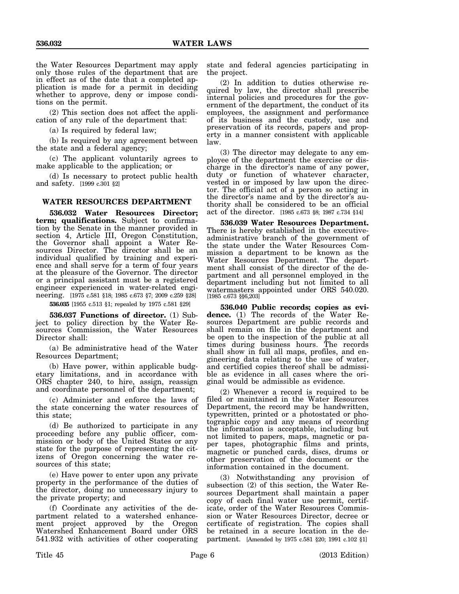the Water Resources Department may apply only those rules of the department that are in effect as of the date that a completed application is made for a permit in deciding whether to approve, deny or impose conditions on the permit.

(2) This section does not affect the application of any rule of the department that:

(a) Is required by federal law;

(b) Is required by any agreement between the state and a federal agency;

(c) The applicant voluntarily agrees to make applicable to the application; or

(d) Is necessary to protect public health and safety. [1999 c.301 §2]

## **WATER RESOURCES DEPARTMENT**

**536.032 Water Resources Director; term; qualifications.** Subject to confirmation by the Senate in the manner provided in section 4, Article III, Oregon Constitution, the Governor shall appoint a Water Resources Director. The director shall be an individual qualified by training and experience and shall serve for a term of four years at the pleasure of the Governor. The director or a principal assistant must be a registered engineer experienced in water-related engineering. [1975 c.581 §18; 1985 c.673 §7; 2009 c.259 §28]

**536.035** [1955 c.513 §1; repealed by 1975 c.581 §29]

**536.037 Functions of director.** (1) Subject to policy direction by the Water Resources Commission, the Water Resources Director shall:

(a) Be administrative head of the Water Resources Department;

(b) Have power, within applicable budgetary limitations, and in accordance with ORS chapter 240, to hire, assign, reassign and coordinate personnel of the department;

(c) Administer and enforce the laws of the state concerning the water resources of this state;

(d) Be authorized to participate in any proceeding before any public officer, commission or body of the United States or any state for the purpose of representing the citizens of Oregon concerning the water resources of this state;

(e) Have power to enter upon any private property in the performance of the duties of the director, doing no unnecessary injury to the private property; and

(f) Coordinate any activities of the department related to a watershed enhancement project approved by the Oregon Watershed Enhancement Board under ORS 541.932 with activities of other cooperating state and federal agencies participating in the project.

(2) In addition to duties otherwise required by law, the director shall prescribe internal policies and procedures for the government of the department, the conduct of its employees, the assignment and performance of its business and the custody, use and preservation of its records, papers and property in a manner consistent with applicable law.

(3) The director may delegate to any employee of the department the exercise or discharge in the director's name of any power, duty or function of whatever character, vested in or imposed by law upon the director. The official act of a person so acting in the director's name and by the director's authority shall be considered to be an official act of the director. [1985 c.673 §8; 1987 c.734 §14]

**536.039 Water Resources Department.** There is hereby established in the executiveadministrative branch of the government of the state under the Water Resources Commission a department to be known as the Water Resources Department. The department shall consist of the director of the department and all personnel employed in the department including but not limited to all watermasters appointed under ORS 540.020. [1985 c.673 §§6,203]

**536.040 Public records; copies as evidence.** (1) The records of the Water Resources Department are public records and shall remain on file in the department and be open to the inspection of the public at all times during business hours. The records shall show in full all maps, profiles, and engineering data relating to the use of water, and certified copies thereof shall be admissible as evidence in all cases where the original would be admissible as evidence.

(2) Whenever a record is required to be filed or maintained in the Water Resources Department, the record may be handwritten, typewritten, printed or a photostated or photographic copy and any means of recording the information is acceptable, including but not limited to papers, maps, magnetic or paper tapes, photographic films and prints, magnetic or punched cards, discs, drums or other preservation of the document or the information contained in the document.

(3) Notwithstanding any provision of subsection (2) of this section, the Water Resources Department shall maintain a paper copy of each final water use permit, certificate, order of the Water Resources Commission or Water Resources Director, decree or certificate of registration. The copies shall be retained in a secure location in the department. [Amended by 1975 c.581 §20; 1991 c.102 §1]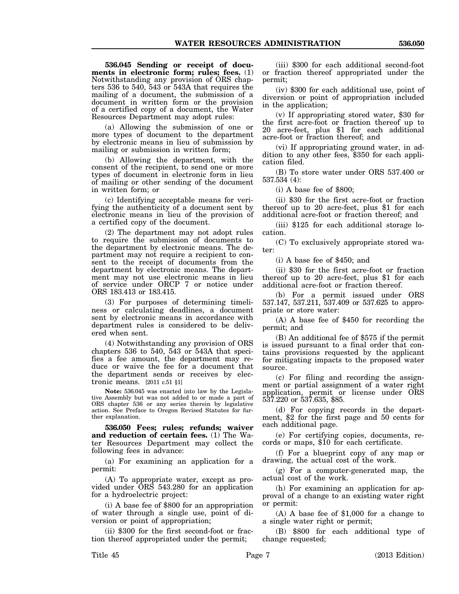**536.045 Sending or receipt of documents in electronic form; rules; fees.** (1) Notwithstanding any provision of ORS chapters 536 to 540, 543 or 543A that requires the mailing of a document, the submission of a document in written form or the provision of a certified copy of a document, the Water Resources Department may adopt rules:

(a) Allowing the submission of one or more types of document to the department by electronic means in lieu of submission by mailing or submission in written form;

(b) Allowing the department, with the consent of the recipient, to send one or more types of document in electronic form in lieu of mailing or other sending of the document in written form; or

(c) Identifying acceptable means for verifying the authenticity of a document sent by electronic means in lieu of the provision of a certified copy of the document.

(2) The department may not adopt rules to require the submission of documents to the department by electronic means. The department may not require a recipient to consent to the receipt of documents from the department by electronic means. The department may not use electronic means in lieu of service under ORCP 7 or notice under ORS 183.413 or 183.415.

(3) For purposes of determining timeliness or calculating deadlines, a document sent by electronic means in accordance with department rules is considered to be delivered when sent.

(4) Notwithstanding any provision of ORS chapters 536 to 540, 543 or 543A that specifies a fee amount, the department may reduce or waive the fee for a document that the department sends or receives by electronic means. [2011 c.51 §1]

**Note:** 536.045 was enacted into law by the Legislative Assembly but was not added to or made a part of ORS chapter 536 or any series therein by legislative action. See Preface to Oregon Revised Statutes for further explanation.

**536.050 Fees; rules; refunds; waiver and reduction of certain fees.** (1) The Water Resources Department may collect the following fees in advance:

(a) For examining an application for a permit:

(A) To appropriate water, except as provided under ORS 543.280 for an application for a hydroelectric project:

(i) A base fee of \$800 for an appropriation of water through a single use, point of diversion or point of appropriation;

(ii) \$300 for the first second-foot or fraction thereof appropriated under the permit;

(iii) \$300 for each additional second-foot or fraction thereof appropriated under the permit;

(iv) \$300 for each additional use, point of diversion or point of appropriation included in the application;

(v) If appropriating stored water, \$30 for the first acre-foot or fraction thereof up to 20 acre-feet, plus \$1 for each additional acre-foot or fraction thereof; and

(vi) If appropriating ground water, in addition to any other fees, \$350 for each application filed.

(B) To store water under ORS 537.400 or 537.534 (4):

(i) A base fee of \$800;

(ii) \$30 for the first acre-foot or fraction thereof up to 20 acre-feet, plus \$1 for each additional acre-foot or fraction thereof; and

(iii) \$125 for each additional storage location.

(C) To exclusively appropriate stored water:

(i) A base fee of \$450; and

(ii) \$30 for the first acre-foot or fraction thereof up to 20 acre-feet, plus \$1 for each additional acre-foot or fraction thereof.

(b) For a permit issued under ORS 537.147, 537.211, 537.409 or 537.625 to appropriate or store water:

(A) A base fee of \$450 for recording the permit; and

(B) An additional fee of \$575 if the permit is issued pursuant to a final order that contains provisions requested by the applicant for mitigating impacts to the proposed water source.

(c) For filing and recording the assignment or partial assignment of a water right application, permit or license under ORS 537.220 or 537.635, \$85.

(d) For copying records in the depart- ment, \$2 for the first page and 50 cents for each additional page.

(e) For certifying copies, documents, re- cords or maps, \$10 for each certificate.

(f) For a blueprint copy of any map or drawing, the actual cost of the work.

(g) For a computer-generated map, the actual cost of the work.

(h) For examining an application for approval of a change to an existing water right or permit:

(A) A base fee of \$1,000 for a change to a single water right or permit;

(B) \$800 for each additional type of change requested;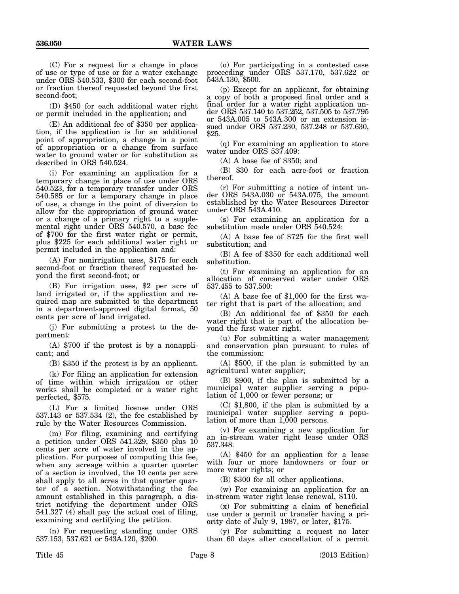(C) For a request for a change in place of use or type of use or for a water exchange under ORS 540.533, \$300 for each second-foot or fraction thereof requested beyond the first second-foot;

(D) \$450 for each additional water right or permit included in the application; and

(E) An additional fee of \$350 per application, if the application is for an additional point of appropriation, a change in a point of appropriation or a change from surface water to ground water or for substitution as described in ORS 540.524.

(i) For examining an application for a temporary change in place of use under ORS 540.523, for a temporary transfer under ORS 540.585 or for a temporary change in place of use, a change in the point of diversion to allow for the appropriation of ground water or a change of a primary right to a supplemental right under ORS 540.570, a base fee of \$700 for the first water right or permit, plus \$225 for each additional water right or permit included in the application and:

(A) For nonirrigation uses, \$175 for each second-foot or fraction thereof requested beyond the first second-foot; or

(B) For irrigation uses, \$2 per acre of land irrigated or, if the application and required map are submitted to the department in a department-approved digital format, 50 cents per acre of land irrigated.

(j) For submitting a protest to the department:

(A) \$700 if the protest is by a nonapplicant; and

(B) \$350 if the protest is by an applicant.

(k) For filing an application for extension of time within which irrigation or other works shall be completed or a water right perfected, \$575.

(L) For a limited license under ORS 537.143 or 537.534 (2), the fee established by rule by the Water Resources Commission.

(m) For filing, examining and certifying a petition under ORS 541.329, \$350 plus 10 cents per acre of water involved in the application. For purposes of computing this fee, when any acreage within a quarter quarter of a section is involved, the 10 cents per acre shall apply to all acres in that quarter quarter of a section. Notwithstanding the fee amount established in this paragraph, a district notifying the department under ORS 541.327 (4) shall pay the actual cost of filing, examining and certifying the petition.

(n) For requesting standing under ORS 537.153, 537.621 or 543A.120, \$200.

(o) For participating in a contested case proceeding under ORS 537.170, 537.622 or 543A.130, \$500.

(p) Except for an applicant, for obtaining a copy of both a proposed final order and a final order for a water right application under ORS 537.140 to 537.252, 537.505 to 537.795 or 543A.005 to 543A.300 or an extension issued under ORS 537.230, 537.248 or 537.630, \$25.

(q) For examining an application to store water under ORS 537.409:

(A) A base fee of \$350; and

(B) \$30 for each acre-foot or fraction thereof.

(r) For submitting a notice of intent under ORS 543A.030 or 543A.075, the amount established by the Water Resources Director under ORS 543A.410.

(s) For examining an application for a substitution made under ORS 540.524:

(A) A base fee of \$725 for the first well substitution; and

(B) A fee of \$350 for each additional well substitution.

(t) For examining an application for an allocation of conserved water under ORS 537.455 to 537.500:

(A) A base fee of \$1,000 for the first water right that is part of the allocation; and

(B) An additional fee of \$350 for each water right that is part of the allocation beyond the first water right.

(u) For submitting a water management and conservation plan pursuant to rules of the commission:

(A) \$500, if the plan is submitted by an agricultural water supplier;

(B) \$900, if the plan is submitted by a municipal water supplier serving a population of 1,000 or fewer persons; or

(C) \$1,800, if the plan is submitted by a municipal water supplier serving a population of more than  $1,000$  persons.

(v) For examining a new application for an in-stream water right lease under ORS 537.348:

(A) \$450 for an application for a lease with four or more landowners or four or more water rights; or

(B) \$300 for all other applications.

(w) For examining an application for an in-stream water right lease renewal, \$110.

(x) For submitting a claim of beneficial use under a permit or transfer having a priority date of July 9, 1987, or later, \$175.

(y) For submitting a request no later than 60 days after cancellation of a permit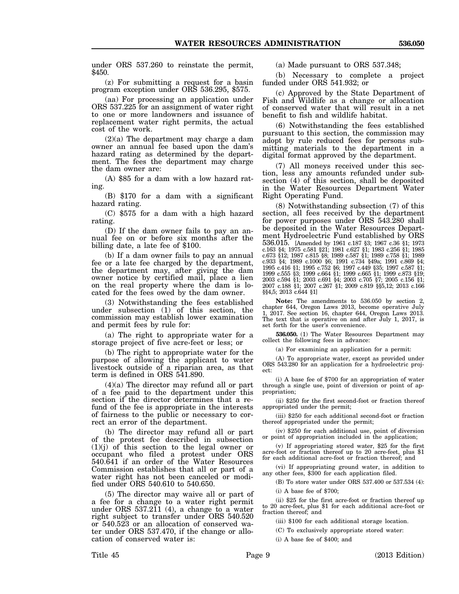under ORS 537.260 to reinstate the permit, \$450.

(z) For submitting a request for a basin program exception under ORS 536.295, \$575.

(aa) For processing an application under ORS 537.225 for an assignment of water right to one or more landowners and issuance of replacement water right permits, the actual cost of the work.

(2)(a) The department may charge a dam owner an annual fee based upon the dam's hazard rating as determined by the department. The fees the department may charge the dam owner are:

(A) \$85 for a dam with a low hazard rating.

(B) \$170 for a dam with a significant hazard rating.

(C) \$575 for a dam with a high hazard rating.

(D) If the dam owner fails to pay an annual fee on or before six months after the billing date, a late fee of \$100.

(b) If a dam owner fails to pay an annual fee or a late fee charged by the department, the department may, after giving the dam owner notice by certified mail, place a lien on the real property where the dam is located for the fees owed by the dam owner.

(3) Notwithstanding the fees established under subsection (1) of this section, the commission may establish lower examination and permit fees by rule for:

(a) The right to appropriate water for a storage project of five acre-feet or less; or

(b) The right to appropriate water for the purpose of allowing the applicant to water livestock outside of a riparian area, as that term is defined in ORS 541.890.

(4)(a) The director may refund all or part of a fee paid to the department under this section if the director determines that a refund of the fee is appropriate in the interests of fairness to the public or necessary to correct an error of the department.

(b) The director may refund all or part of the protest fee described in subsection  $(1)(j)$  of this section to the legal owner or occupant who filed a protest under ORS 540.641 if an order of the Water Resources Commission establishes that all or part of a water right has not been canceled or modified under ORS 540.610 to 540.650.

(5) The director may waive all or part of a fee for a change to a water right permit under ORS  $537.2\overline{1}1$  (4), a change to a water right subject to transfer under ORS 540.520 or 540.523 or an allocation of conserved water under ORS 537.470, if the change or allocation of conserved water is:

(a) Made pursuant to ORS 537.348;

(b) Necessary to complete a project funded under ORS 541.932; or

(c) Approved by the State Department of Fish and Wildlife as a change or allocation of conserved water that will result in a net benefit to fish and wildlife habitat.

(6) Notwithstanding the fees established pursuant to this section, the commission may adopt by rule reduced fees for persons submitting materials to the department in a digital format approved by the department.

(7) All moneys received under this section, less any amounts refunded under subsection (4) of this section, shall be deposited in the Water Resources Department Water Right Operating Fund.

(8) Notwithstanding subsection (7) of this section, all fees received by the department for power purposes under ORS 543.280 shall be deposited in the Water Resources Department Hydroelectric Fund established by ORS 536.015. [Amended by 1961 c.187 §3; 1967 c.36 §1; 1973 c.163 §4; 1975 c.581 §21; 1981 c.627 §1; 1983 c.256 §1; 1985 c.673 §12; 1987 c.815 §8; 1989 c.587 §1; 1989 c.758 §1; 1989 c.933 §4; 1989 c.1000 §6; 1991 c.734 §49a; 1991 c.869 §4; 1995 c.416 §1; 1995 c.752 §6; 1997 c.449 §35; 1997 c.587 §1; 1999 c.555 §3; 1999 c.664 §1; 1999 c.665 §1; 1999 c.873 §19; 2003 c.594 §1; 2003 c.691 §4; 2003 c.705 §7; 2005 c.156 §1; 2007 c.188 §1; 2007 c.267 §1; 2009 c.819 §§5,12; 2013 c.166 §§4,5; 2013 c.644 §1]

**Note:** The amendments to 536.050 by section 2, chapter 644, Oregon Laws 2013, become operative July 1, 2017. See section 16, chapter 644, Oregon Laws 2013. The text that is operative on and after July 1, 2017, is set forth for the user's convenience.

**536.050.** (1) The Water Resources Department may collect the following fees in advance:

(a) For examining an application for a permit:

(A) To appropriate water, except as provided under ORS 543.280 for an application for a hydroelectric project:

(i) A base fee of \$700 for an appropriation of water through a single use, point of diversion or point of appropriation;

(ii) \$250 for the first second-foot or fraction thereof appropriated under the permit;

(iii) \$250 for each additional second-foot or fraction thereof appropriated under the permit;

(iv) \$250 for each additional use, point of diversion or point of appropriation included in the application;

(v) If appropriating stored water, \$25 for the first acre-foot or fraction thereof up to 20 acre-feet, plus \$1 for each additional acre-foot or fraction thereof; and

(vi) If appropriating ground water, in addition to any other fees, \$300 for each application filed.

(B) To store water under ORS 537.400 or 537.534 (4):

(i) A base fee of \$700;

(ii) \$25 for the first acre-foot or fraction thereof up to 20 acre-feet, plus \$1 for each additional acre-foot or fraction thereof; and

(iii) \$100 for each additional storage location.

(C) To exclusively appropriate stored water:

(i) A base fee of \$400; and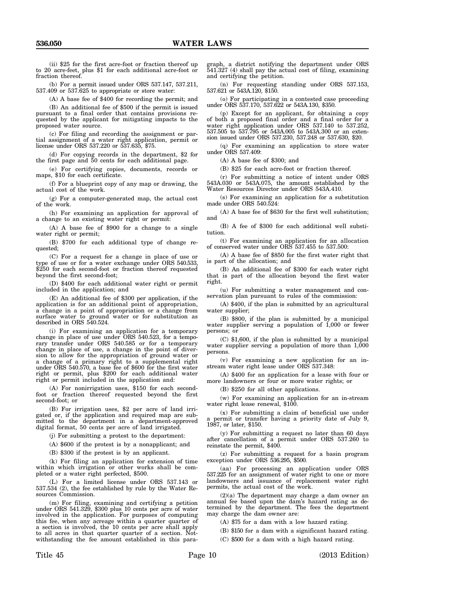(ii) \$25 for the first acre-foot or fraction thereof up to 20 acre-feet, plus \$1 for each additional acre-foot or fraction thereof.

(b) For a permit issued under ORS 537.147, 537.211, 537.409 or 537.625 to appropriate or store water:

(A) A base fee of \$400 for recording the permit; and

(B) An additional fee of \$500 if the permit is issued pursuant to a final order that contains provisions requested by the applicant for mitigating impacts to the proposed water source.

(c) For filing and recording the assignment or partial assignment of a water right application, permit or license under ORS 537.220 or 537.635, \$75.

(d) For copying records in the department, \$2 for the first page and 50 cents for each additional page.

(e) For certifying copies, documents, records or maps, \$10 for each certificate.

(f) For a blueprint copy of any map or drawing, the actual cost of the work.

(g) For a computer-generated map, the actual cost of the work.

(h) For examining an application for approval of a change to an existing water right or permit:

(A) A base fee of \$900 for a change to a single water right or permit;

(B) \$700 for each additional type of change requested;

(C) For a request for a change in place of use or type of use or for a water exchange under ORS 540.533, \$250 for each second-foot or fraction thereof requested beyond the first second-foot;

(D) \$400 for each additional water right or permit included in the application; and

(E) An additional fee of \$300 per application, if the application is for an additional point of appropriation, a change in a point of appropriation or a change from surface water to ground water or for substitution as described in ORS 540.524.

(i) For examining an application for a temporary change in place of use under ORS 540.523, for a temporary transfer under ORS 540.585 or for a temporary change in place of use, a change in the point of diversion to allow for the appropriation of ground water or a change of a primary right to a supplemental right under ORS 540.570, a base fee of \$600 for the first water right or permit, plus \$200 for each additional water right or permit included in the application and:

(A) For nonirrigation uses, \$150 for each secondfoot or fraction thereof requested beyond the first second-foot; or

(B) For irrigation uses, \$2 per acre of land irrigated or, if the application and required map are submitted to the department in a department-approved digital format, 50 cents per acre of land irrigated.

(j) For submitting a protest to the department:

(A) \$600 if the protest is by a nonapplicant; and

(B) \$300 if the protest is by an applicant.

(k) For filing an application for extension of time within which irrigation or other works shall be completed or a water right perfected, \$500.

(L) For a limited license under ORS 537.143 or 537.534 (2), the fee established by rule by the Water Resources Commission.

(m) For filing, examining and certifying a petition under ORS 541.329, \$300 plus 10 cents per acre of water involved in the application. For purposes of computing this fee, when any acreage within a quarter quarter of a section is involved, the 10 cents per acre shall apply to all acres in that quarter quarter of a section. Notwithstanding the fee amount established in this para-

graph, a district notifying the department under ORS 541.327 (4) shall pay the actual cost of filing, examining and certifying the petition.

(n) For requesting standing under ORS 537.153, 537.621 or 543A.120, \$150.

(o) For participating in a contested case proceeding under ORS 537.170, 537.622 or 543A.130, \$350.

(p) Except for an applicant, for obtaining a copy of both a proposed final order and a final order for a water right application under ORS 537.140 to 537.252, 537.505 to 537.795 or 543A.005 to 543A.300 or an extension issued under ORS 537.230, 537.248 or 537.630, \$20.

(q) For examining an application to store water under ORS 537.409:

(A) A base fee of \$300; and

(B) \$25 for each acre-foot or fraction thereof.

(r) For submitting a notice of intent under ORS 543A.030 or 543A.075, the amount established by the Water Resources Director under ORS 543A.410.

(s) For examining an application for a substitution made under ORS 540.524:

(A) A base fee of \$630 for the first well substitution; and

(B) A fee of \$300 for each additional well substitution.

(t) For examining an application for an allocation of conserved water under ORS 537.455 to 537.500:

(A) A base fee of \$850 for the first water right that is part of the allocation; and

(B) An additional fee of \$300 for each water right that is part of the allocation beyond the first water right.

(u) For submitting a water management and conservation plan pursuant to rules of the commission:

(A) \$400, if the plan is submitted by an agricultural water supplier;

(B) \$800, if the plan is submitted by a municipal water supplier serving a population of  $1,000$  or fewer persons; or

(C) \$1,600, if the plan is submitted by a municipal water supplier serving a population of more than  $1,000$ persons.

(v) For examining a new application for an instream water right lease under ORS 537.348:

(A) \$400 for an application for a lease with four or more landowners or four or more water rights; or

(B) \$250 for all other applications.

(w) For examining an application for an in-stream water right lease renewal, \$100.

(x) For submitting a claim of beneficial use under a permit or transfer having a priority date of July 9, 1987, or later, \$150.

(y) For submitting a request no later than 60 days after cancellation of a permit under ORS 537.260 to reinstate the permit, \$400.

(z) For submitting a request for a basin program exception under ORS 536.295, \$500.

(aa) For processing an application under ORS 537.225 for an assignment of water right to one or more landowners and issuance of replacement water right permits, the actual cost of the work.

(2)(a) The department may charge a dam owner an annual fee based upon the dam's hazard rating as determined by the department. The fees the department may charge the dam owner are:

(A) \$75 for a dam with a low hazard rating.

(B) \$150 for a dam with a significant hazard rating.

(C) \$500 for a dam with a high hazard rating.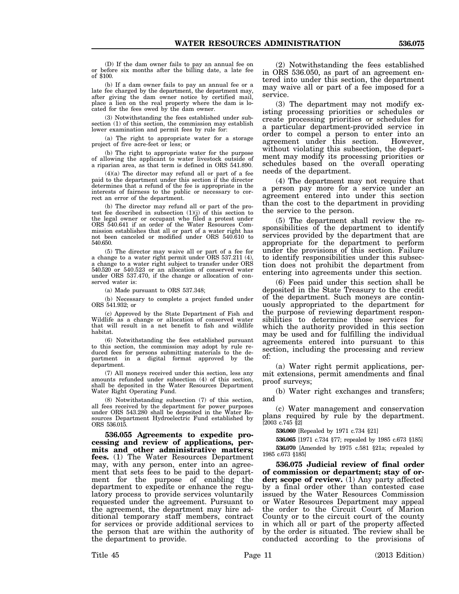(D) If the dam owner fails to pay an annual fee on or before six months after the billing date, a late fee

(b) If a dam owner fails to pay an annual fee or a late fee charged by the department, the department may, after giving the dam owner notice by certified mail, place a lien on the real property where the dam is located for the fees owed by the dam owner.

of \$100.

(3) Notwithstanding the fees established under subsection (1) of this section, the commission may establish lower examination and permit fees by rule for:

(a) The right to appropriate water for a storage project of five acre-feet or less; or

(b) The right to appropriate water for the purpose of allowing the applicant to water livestock outside of a riparian area, as that term is defined in ORS 541.890.

(4)(a) The director may refund all or part of a fee paid to the department under this section if the director determines that a refund of the fee is appropriate in the interests of fairness to the public or necessary to correct an error of the department.

(b) The director may refund all or part of the protest fee described in subsection (1)(j) of this section to the legal owner or occupant who filed a protest under ORS 540.641 if an order of the Water Resources Commission establishes that all or part of a water right has not been canceled or modified under ORS 540.610 to 540.650.

(5) The director may waive all or part of a fee for a change to a water right permit under ORS 537.211 (4), a change to a water right subject to transfer under ORS 540.520 or 540.523 or an allocation of conserved water under ORS 537.470, if the change or allocation of conserved water is:

(a) Made pursuant to ORS 537.348;

(b) Necessary to complete a project funded under ORS 541.932; or

(c) Approved by the State Department of Fish and Wildlife as a change or allocation of conserved water that will result in a net benefit to fish and wildlife habitat.

(6) Notwithstanding the fees established pursuant to this section, the commission may adopt by rule reduced fees for persons submitting materials to the department in a digital format approved by the department.

(7) All moneys received under this section, less any amounts refunded under subsection (4) of this section, shall be deposited in the Water Resources Department Water Right Operating Fund.

(8) Notwithstanding subsection (7) of this section, all fees received by the department for power purposes under ORS 543.280 shall be deposited in the Water Resources Department Hydroelectric Fund established by ORS 536.015.

**536.055 Agreements to expedite processing and review of applications, permits and other administrative matters; fees.** (1) The Water Resources Department may, with any person, enter into an agreement that sets fees to be paid to the department for the purpose of enabling the department to expedite or enhance the regulatory process to provide services voluntarily requested under the agreement. Pursuant to the agreement, the department may hire additional temporary staff members, contract for services or provide additional services to the person that are within the authority of the department to provide.

(2) Notwithstanding the fees established in ORS 536.050, as part of an agreement entered into under this section, the department may waive all or part of a fee imposed for a service.

(3) The department may not modify existing processing priorities or schedules or create processing priorities or schedules for a particular department-provided service in order to compel a person to enter into an agreement under this section. However, without violating this subsection, the department may modify its processing priorities or schedules based on the overall operating needs of the department.

(4) The department may not require that a person pay more for a service under an agreement entered into under this section than the cost to the department in providing the service to the person.

(5) The department shall review the responsibilities of the department to identify services provided by the department that are appropriate for the department to perform under the provisions of this section. Failure to identify responsibilities under this subsection does not prohibit the department from entering into agreements under this section.

(6) Fees paid under this section shall be deposited in the State Treasury to the credit of the department. Such moneys are continuously appropriated to the department for the purpose of reviewing department responsibilities to determine those services for which the authority provided in this section may be used and for fulfilling the individual agreements entered into pursuant to this section, including the processing and review of:

(a) Water right permit applications, permit extensions, permit amendments and final proof surveys;

(b) Water right exchanges and transfers; and

(c) Water management and conservation plans required by rule by the department. [2003 c.745 §2]

**536.060** [Repealed by 1971 c.734 §21]

**536.065** [1971 c.734 §77; repealed by 1985 c.673 §185] **536.070** [Amended by 1975 c.581 §21a; repealed by 1985 c.673 §185]

**536.075 Judicial review of final order of commission or department; stay of order; scope of review.** (1) Any party affected by a final order other than contested case issued by the Water Resources Commission or Water Resources Department may appeal the order to the Circuit Court of Marion County or to the circuit court of the county in which all or part of the property affected by the order is situated. The review shall be conducted according to the provisions of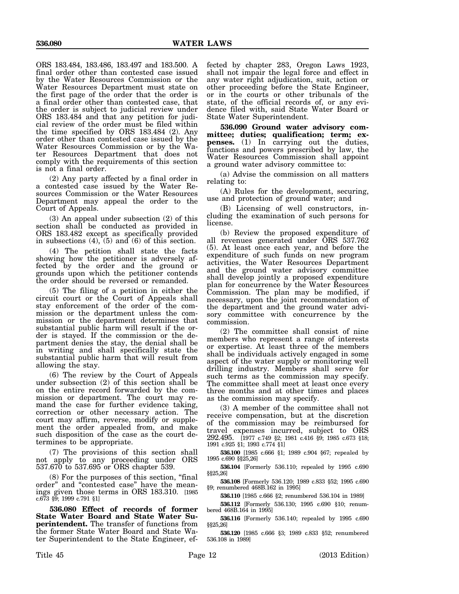ORS 183.484, 183.486, 183.497 and 183.500. A final order other than contested case issued by the Water Resources Commission or the Water Resources Department must state on the first page of the order that the order is a final order other than contested case, that the order is subject to judicial review under ORS 183.484 and that any petition for judicial review of the order must be filed within the time specified by ORS 183.484 (2). Any order other than contested case issued by the Water Resources Commission or by the Water Resources Department that does not comply with the requirements of this section is not a final order.

(2) Any party affected by a final order in a contested case issued by the Water Resources Commission or the Water Resources Department may appeal the order to the Court of Appeals.

(3) An appeal under subsection (2) of this section shall be conducted as provided in ORS 183.482 except as specifically provided in subsections (4), (5) and (6) of this section.

(4) The petition shall state the facts showing how the petitioner is adversely affected by the order and the ground or grounds upon which the petitioner contends the order should be reversed or remanded.

(5) The filing of a petition in either the circuit court or the Court of Appeals shall stay enforcement of the order of the commission or the department unless the commission or the department determines that substantial public harm will result if the order is stayed. If the commission or the department denies the stay, the denial shall be in writing and shall specifically state the substantial public harm that will result from allowing the stay.

(6) The review by the Court of Appeals under subsection (2) of this section shall be on the entire record forwarded by the commission or department. The court may remand the case for further evidence taking, correction or other necessary action. The court may affirm, reverse, modify or supplement the order appealed from, and make such disposition of the case as the court determines to be appropriate.

(7) The provisions of this section shall not apply to any proceeding under ORS 537.670 to 537.695 or ORS chapter 539.

(8) For the purposes of this section, "final order" and "contested case" have the meanings given those terms in ORS 183.310. [1985 c.673 §9; 1999 c.791 §1]

**536.080 Effect of records of former State Water Board and State Water Superintendent.** The transfer of functions from the former State Water Board and State Water Superintendent to the State Engineer, effected by chapter 283, Oregon Laws 1923, shall not impair the legal force and effect in any water right adjudication, suit, action or other proceeding before the State Engineer, or in the courts or other tribunals of the state, of the official records of, or any evidence filed with, said State Water Board or State Water Superintendent.

**536.090 Ground water advisory committee; duties; qualification; term; expenses.** (1) In carrying out the duties, functions and powers prescribed by law, the Water Resources Commission shall appoint a ground water advisory committee to:

(a) Advise the commission on all matters relating to:

(A) Rules for the development, securing, use and protection of ground water; and

(B) Licensing of well constructors, including the examination of such persons for license.

(b) Review the proposed expenditure of all revenues generated under ORS 537.762 (5). At least once each year, and before the expenditure of such funds on new program activities, the Water Resources Department and the ground water advisory committee shall develop jointly a proposed expenditure plan for concurrence by the Water Resources Commission. The plan may be modified, if necessary, upon the joint recommendation of the department and the ground water advisory committee with concurrence by the commission.

(2) The committee shall consist of nine members who represent a range of interests or expertise. At least three of the members shall be individuals actively engaged in some aspect of the water supply or monitoring well drilling industry. Members shall serve for such terms as the commission may specify. The committee shall meet at least once every three months and at other times and places as the commission may specify.

(3) A member of the committee shall not receive compensation, but at the discretion of the commission may be reimbursed for travel expenses incurred, subject to ORS 292.495. [1977 c.749 §2; 1981 c.416 §9; 1985 c.673 §18; 1991 c.925 §1; 1993 c.774 §1]

**536.100** [1985 c.666 §1; 1989 c.904 §67; repealed by 1995 c.690 §§25,26]

**536.104** [Formerly 536.110; repealed by 1995 c.690 §§25,26]

**536.108** [Formerly 536.120; 1989 c.833 §52; 1995 c.690 §9; renumbered 468B.162 in 1995]

**536.110** [1985 c.666 §2; renumbered 536.104 in 1989]

**536.112** [Formerly 536.130; 1995 c.690 §10; renumbered 468B.164 in 1995]

**536.116** [Formerly 536.140; repealed by 1995 c.690 §§25,26]

**536.120** [1985 c.666 §3; 1989 c.833 §52; renumbered 536.108 in 1989]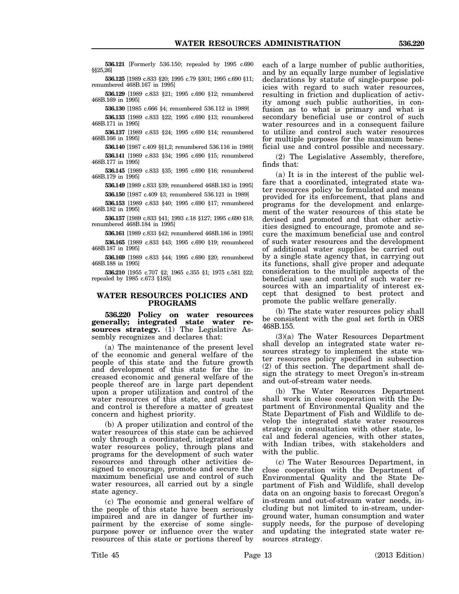**536.121** [Formerly 536.150; repealed by 1995 c.690 §§25,26]

**536.125** [1989 c.833 §20; 1995 c.79 §301; 1995 c.690 §11; renumbered 468B.167 in 1995]

**536.129** [1989 c.833 §21; 1995 c.690 §12; renumbered 468B.169 in 1995]

**536.130** [1985 c.666 §4; renumbered 536.112 in 1989]

**536.133** [1989 c.833 §22; 1995 c.690 §13; renumbered 468B.171 in 1995]

**536.137** [1989 c.833 §24; 1995 c.690 §14; renumbered 468B.166 in 1995]

**536.140** [1987 c.409 §§1,2; renumbered 536.116 in 1989] **536.141** [1989 c.833 §34; 1995 c.690 §15; renumbered

468B.177 in 1995] **536.145** [1989 c.833 §35; 1995 c.690 §16; renumbered 468B.179 in 1995]

**536.149** [1989 c.833 §39; renumbered 468B.183 in 1995] **536.150** [1987 c.409 §3; renumbered 536.121 in 1989]

**536.153** [1989 c.833 §40; 1995 c.690 §17; renumbered 468B.182 in 1995]

**536.157** [1989 c.833 §41; 1993 c.18 §127; 1995 c.690 §18; renumbered 468B.184 in 1995]

**536.161** [1989 c.833 §42; renumbered 468B.186 in 1995] **536.165** [1989 c.833 §43; 1995 c.690 §19; renumbered 468B.187 in 1995]

**536.169** [1989 c.833 §44; 1995 c.690 §20; renumbered 468B.188 in 1995]

**536.210** [1955 c.707 §2; 1965 c.355 §1; 1975 c.581 §22; repealed by 1985 c.673 §185]

## **WATER RESOURCES POLICIES AND PROGRAMS**

**536.220 Policy on water resources generally; integrated state water resources strategy.** (1) The Legislative Assembly recognizes and declares that:

(a) The maintenance of the present level of the economic and general welfare of the people of this state and the future growth and development of this state for the increased economic and general welfare of the people thereof are in large part dependent upon a proper utilization and control of the water resources of this state, and such use and control is therefore a matter of greatest concern and highest priority.

(b) A proper utilization and control of the water resources of this state can be achieved only through a coordinated, integrated state water resources policy, through plans and programs for the development of such water resources and through other activities designed to encourage, promote and secure the maximum beneficial use and control of such water resources, all carried out by a single state agency.

(c) The economic and general welfare of the people of this state have been seriously impaired and are in danger of further impairment by the exercise of some singlepurpose power or influence over the water resources of this state or portions thereof by

each of a large number of public authorities, and by an equally large number of legislative declarations by statute of single-purpose policies with regard to such water resources, resulting in friction and duplication of activity among such public authorities, in confusion as to what is primary and what is secondary beneficial use or control of such water resources and in a consequent failure to utilize and control such water resources for multiple purposes for the maximum beneficial use and control possible and necessary.

(2) The Legislative Assembly, therefore, finds that:

(a) It is in the interest of the public welfare that a coordinated, integrated state water resources policy be formulated and means provided for its enforcement, that plans and programs for the development and enlargement of the water resources of this state be devised and promoted and that other activities designed to encourage, promote and secure the maximum beneficial use and control of such water resources and the development of additional water supplies be carried out by a single state agency that, in carrying out its functions, shall give proper and adequate consideration to the multiple aspects of the beneficial use and control of such water resources with an impartiality of interest except that designed to best protect and promote the public welfare generally.

(b) The state water resources policy shall be consistent with the goal set forth in ORS 468B.155.

(3)(a) The Water Resources Department shall develop an integrated state water resources strategy to implement the state water resources policy specified in subsection (2) of this section. The department shall design the strategy to meet Oregon's in-stream and out-of-stream water needs.

(b) The Water Resources Department shall work in close cooperation with the Department of Environmental Quality and the State Department of Fish and Wildlife to develop the integrated state water resources strategy in consultation with other state, local and federal agencies, with other states, with Indian tribes, with stakeholders and with the public.

(c) The Water Resources Department, in close cooperation with the Department of Environmental Quality and the State Department of Fish and Wildlife, shall develop data on an ongoing basis to forecast Oregon's in-stream and out-of-stream water needs, including but not limited to in-stream, underground water, human consumption and water supply needs, for the purpose of developing and updating the integrated state water resources strategy.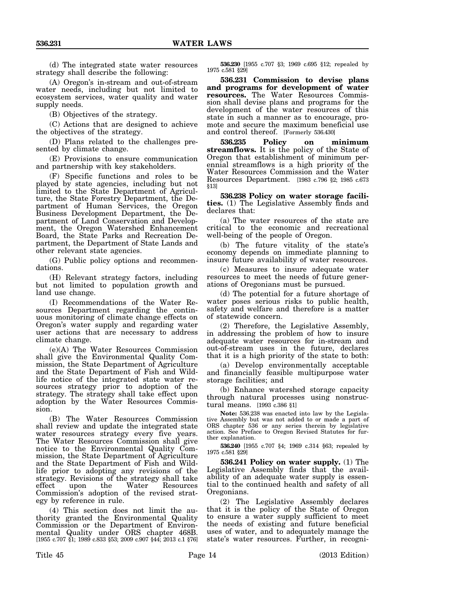(d) The integrated state water resources strategy shall describe the following:

(A) Oregon's in-stream and out-of-stream water needs, including but not limited to ecosystem services, water quality and water supply needs.

(B) Objectives of the strategy.

(C) Actions that are designed to achieve the objectives of the strategy.

(D) Plans related to the challenges presented by climate change.

(E) Provisions to ensure communication and partnership with key stakeholders.

(F) Specific functions and roles to be played by state agencies, including but not limited to the State Department of Agriculture, the State Forestry Department, the Department of Human Services, the Oregon Business Development Department, the Department of Land Conservation and Development, the Oregon Watershed Enhancement Board, the State Parks and Recreation Department, the Department of State Lands and other relevant state agencies.

(G) Public policy options and recommendations.

(H) Relevant strategy factors, including but not limited to population growth and land use change.

(I) Recommendations of the Water Resources Department regarding the continuous monitoring of climate change effects on Oregon's water supply and regarding water user actions that are necessary to address climate change.

(e)(A) The Water Resources Commission shall give the Environmental Quality Commission, the State Department of Agriculture and the State Department of Fish and Wildlife notice of the integrated state water resources strategy prior to adoption of the strategy. The strategy shall take effect upon adoption by the Water Resources Commission.

(B) The Water Resources Commission shall review and update the integrated state water resources strategy every five years. The Water Resources Commission shall give notice to the Environmental Quality Commission, the State Department of Agriculture and the State Department of Fish and Wildlife prior to adopting any revisions of the strategy. Revisions of the strategy shall take effect upon the Water Resources Commission's adoption of the revised strategy by reference in rule.

(4) This section does not limit the authority granted the Environmental Quality Commission or the Department of Environmental Quality under ORS chapter 468B. [1955 c.707 §1; 1989 c.833 §53; 2009 c.907 §44; 2013 c.1 §76]

**536.230** [1955 c.707 §3; 1969 c.695 §12; repealed by 1975 c.581 §29]

**536.231 Commission to devise plans and programs for development of water resources.** The Water Resources Commission shall devise plans and programs for the development of the water resources of this state in such a manner as to encourage, promote and secure the maximum beneficial use and control thereof. [Formerly 536.430]

**536.235 Policy on minimum streamflows.** It is the policy of the State of Oregon that establishment of minimum perennial streamflows is a high priority of the Water Resources Commission and the Water Resources Department. [1983 c.796 §2; 1985 c.673 §13]

**536.238 Policy on water storage facilities.** (1) The Legislative Assembly finds and declares that:

(a) The water resources of the state are critical to the economic and recreational well-being of the people of Oregon.

(b) The future vitality of the state's economy depends on immediate planning to insure future availability of water resources.

(c) Measures to insure adequate water resources to meet the needs of future generations of Oregonians must be pursued.

(d) The potential for a future shortage of water poses serious risks to public health, safety and welfare and therefore is a matter of statewide concern.

(2) Therefore, the Legislative Assembly, in addressing the problem of how to insure adequate water resources for in-stream and out-of-stream uses in the future, declares that it is a high priority of the state to both:

(a) Develop environmentally acceptable and financially feasible multipurpose water storage facilities; and

(b) Enhance watershed storage capacity through natural processes using nonstructural means. [1993 c.386 §1]

**Note:** 536.238 was enacted into law by the Legislative Assembly but was not added to or made a part of ORS chapter 536 or any series therein by legislative action. See Preface to Oregon Revised Statutes for further explanation.

**536.240** [1955 c.707 §4; 1969 c.314 §63; repealed by 1975 c.581 §29]

**536.241 Policy on water supply.** (1) The Legislative Assembly finds that the availability of an adequate water supply is essential to the continued health and safety of all Oregonians.

(2) The Legislative Assembly declares that it is the policy of the State of Oregon to ensure a water supply sufficient to meet the needs of existing and future beneficial uses of water, and to adequately manage the state's water resources. Further, in recogni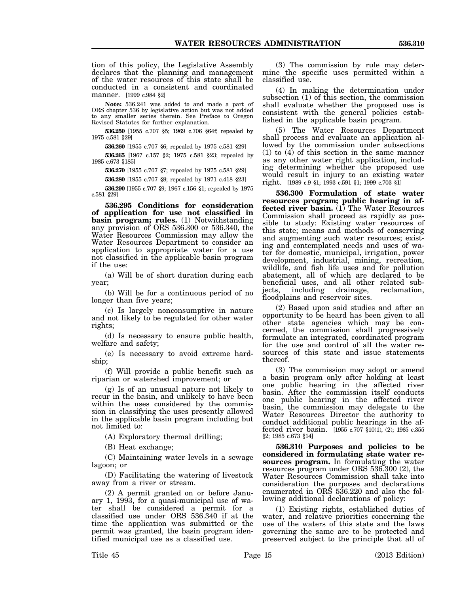tion of this policy, the Legislative Assembly declares that the planning and management of the water resources of this state shall be conducted in a consistent and coordinated manner. [1999 c.984 §2]

**Note:** 536.241 was added to and made a part of ORS chapter 536 by legislative action but was not added to any smaller series therein. See Preface to Oregon Revised Statutes for further explanation.

**536.250** [1955 c.707 §5; 1969 c.706 §64f; repealed by 1975 c.581 §29]

**536.260** [1955 c.707 §6; repealed by 1975 c.581 §29]

**536.265** [1967 c.157 §2; 1975 c.581 §23; repealed by 1985 c.673 §185]

**536.270** [1955 c.707 §7; repealed by 1975 c.581 §29]

**536.280** [1955 c.707 §8; repealed by 1971 c.418 §23]

**536.290** [1955 c.707 §9; 1967 c.156 §1; repealed by 1975 c.581 §29]

**536.295 Conditions for consideration of application for use not classified in basin program; rules.** (1) Notwithstanding any provision of ORS 536.300 or 536.340, the Water Resources Commission may allow the Water Resources Department to consider an application to appropriate water for a use not classified in the applicable basin program if the use:

(a) Will be of short duration during each year;

(b) Will be for a continuous period of no longer than five years;

(c) Is largely nonconsumptive in nature and not likely to be regulated for other water rights;

(d) Is necessary to ensure public health, welfare and safety;

(e) Is necessary to avoid extreme hardship;

(f) Will provide a public benefit such as riparian or watershed improvement; or

(g) Is of an unusual nature not likely to recur in the basin, and unlikely to have been within the uses considered by the commission in classifying the uses presently allowed in the applicable basin program including but not limited to:

(A) Exploratory thermal drilling;

(B) Heat exchange;

(C) Maintaining water levels in a sewage lagoon; or

(D) Facilitating the watering of livestock away from a river or stream.

(2) A permit granted on or before January 1, 1993, for a quasi-municipal use of water shall be considered a permit for a classified use under ORS 536.340 if at the time the application was submitted or the permit was granted, the basin program identified municipal use as a classified use.

(3) The commission by rule may determine the specific uses permitted within a classified use.

(4) In making the determination under subsection (1) of this section, the commission shall evaluate whether the proposed use is consistent with the general policies established in the applicable basin program.

(5) The Water Resources Department shall process and evaluate an application allowed by the commission under subsections (1) to (4) of this section in the same manner as any other water right application, including determining whether the proposed use would result in injury to an existing water right. [1989 c.9 §1; 1993 c.591 §1; 1999 c.703 §1]

**536.300 Formulation of state water resources program; public hearing in affected river basin.** (1) The Water Resources Commission shall proceed as rapidly as possible to study: Existing water resources of this state; means and methods of conserving and augmenting such water resources; existing and contemplated needs and uses of water for domestic, municipal, irrigation, power development, industrial, mining, recreation, wildlife, and fish life uses and for pollution abatement, all of which are declared to be beneficial uses, and all other related subjects, including drainage, reclamation, floodplains and reservoir sites.

(2) Based upon said studies and after an opportunity to be heard has been given to all other state agencies which may be concerned, the commission shall progressively formulate an integrated, coordinated program for the use and control of all the water resources of this state and issue statements thereof.

(3) The commission may adopt or amend a basin program only after holding at least one public hearing in the affected river basin. After the commission itself conducts one public hearing in the affected river basin, the commission may delegate to the Water Resources Director the authority to conduct additional public hearings in the affected river basin. [1955 c.707 §10(1), (2); 1965 c.355 §2; 1985 c.673 §14]

**536.310 Purposes and policies to be considered in formulating state water resources program.** In formulating the water resources program under ORS 536.300 (2), the Water Resources Commission shall take into consideration the purposes and declarations enumerated in ORS 536.220 and also the following additional declarations of policy:

(1) Existing rights, established duties of water, and relative priorities concerning the use of the waters of this state and the laws governing the same are to be protected and preserved subject to the principle that all of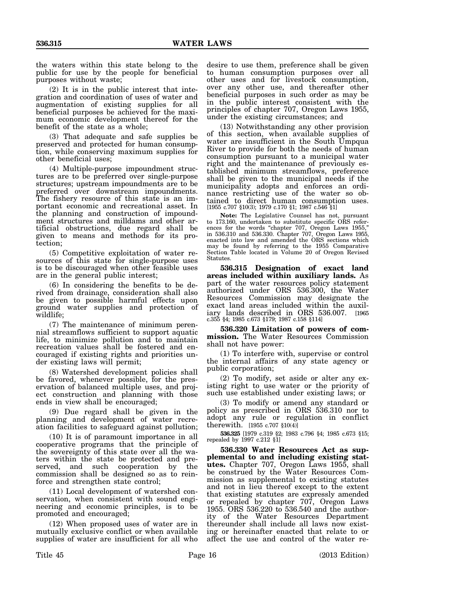the waters within this state belong to the public for use by the people for beneficial purposes without waste;

(2) It is in the public interest that integration and coordination of uses of water and augmentation of existing supplies for all beneficial purposes be achieved for the maximum economic development thereof for the benefit of the state as a whole;

(3) That adequate and safe supplies be preserved and protected for human consumption, while conserving maximum supplies for other beneficial uses;

(4) Multiple-purpose impoundment structures are to be preferred over single-purpose structures; upstream impoundments are to be preferred over downstream impoundments. The fishery resource of this state is an important economic and recreational asset. In the planning and construction of impoundment structures and milldams and other artificial obstructions, due regard shall be given to means and methods for its protection;

(5) Competitive exploitation of water resources of this state for single-purpose uses is to be discouraged when other feasible uses are in the general public interest;

(6) In considering the benefits to be derived from drainage, consideration shall also be given to possible harmful effects upon ground water supplies and protection of wildlife;

(7) The maintenance of minimum perennial streamflows sufficient to support aquatic life, to minimize pollution and to maintain recreation values shall be fostered and encouraged if existing rights and priorities under existing laws will permit;

(8) Watershed development policies shall be favored, whenever possible, for the preservation of balanced multiple uses, and project construction and planning with those ends in view shall be encouraged;

(9) Due regard shall be given in the planning and development of water recreation facilities to safeguard against pollution;

(10) It is of paramount importance in all cooperative programs that the principle of the sovereignty of this state over all the waters within the state be protected and preserved, and such cooperation by the commission shall be designed so as to reinforce and strengthen state control;

(11) Local development of watershed conservation, when consistent with sound engineering and economic principles, is to be promoted and encouraged;

(12) When proposed uses of water are in mutually exclusive conflict or when available supplies of water are insufficient for all who desire to use them, preference shall be given to human consumption purposes over all other uses and for livestock consumption, over any other use, and thereafter other beneficial purposes in such order as may be in the public interest consistent with the principles of chapter 707, Oregon Laws 1955, under the existing circumstances; and

(13) Notwithstanding any other provision of this section, when available supplies of water are insufficient in the South Umpqua River to provide for both the needs of human consumption pursuant to a municipal water right and the maintenance of previously established minimum streamflows, preference shall be given to the municipal needs if the municipality adopts and enforces an ordinance restricting use of the water so obtained to direct human consumption uses. [1955 c.707 §10(3); 1979 c.170 §1; 1987 c.546 §1]

**Note:** The Legislative Counsel has not, pursuant to 173.160, undertaken to substitute specific ORS references for the words "chapter 707, Oregon Laws 1955," in 536.310 and 536.330. Chapter 707, Oregon Laws 1955, enacted into law and amended the ORS sections which may be found by referring to the 1955 Comparative Section Table located in Volume 20 of Oregon Revised Statutes.

**536.315 Designation of exact land areas included within auxiliary lands.** As part of the water resources policy statement authorized under ORS 536.300, the Water Resources Commission may designate the exact land areas included within the auxiliary lands described in ORS 536.007. [1965 c.355 §4; 1985 c.673 §179; 1987 c.158 §114]

**536.320 Limitation of powers of commission.** The Water Resources Commission shall not have power:

(1) To interfere with, supervise or control the internal affairs of any state agency or public corporation;

(2) To modify, set aside or alter any existing right to use water or the priority of such use established under existing laws; or

(3) To modify or amend any standard or policy as prescribed in ORS 536.310 nor to adopt any rule or regulation in conflict therewith. [1955 c.707 §10(4)]

**536.325** [1979 c.319 §2; 1983 c.796 §4; 1985 c.673 §15; repealed by 1997 c.212 §1]

**536.330 Water Resources Act as supplemental to and including existing statutes.** Chapter 707, Oregon Laws 1955, shall be construed by the Water Resources Commission as supplemental to existing statutes and not in lieu thereof except to the extent that existing statutes are expressly amended or repealed by chapter 707, Oregon Laws 1955. ORS 536.220 to 536.540 and the authority of the Water Resources Department thereunder shall include all laws now existing or hereinafter enacted that relate to or affect the use and control of the water re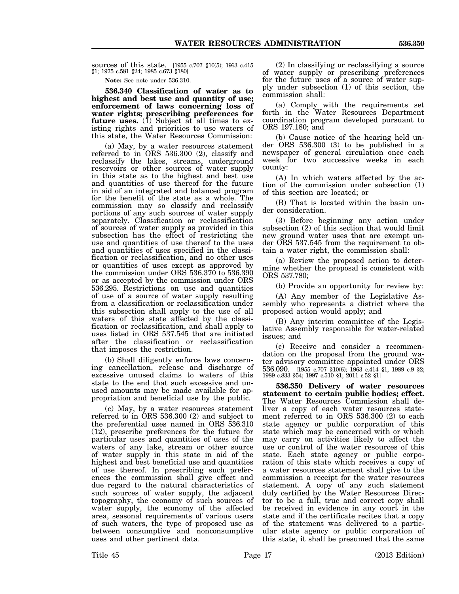sources of this state. [1955 c.707 §10(5); 1963 c.415 §1; 1975 c.581 §24; 1985 c.673 §180]

**Note:** See note under 536.310.

**536.340 Classification of water as to highest and best use and quantity of use; enforcement of laws concerning loss of water rights; prescribing preferences for future uses.** (1) Subject at all times to existing rights and priorities to use waters of this state, the Water Resources Commission:

(a) May, by a water resources statement referred to in ORS 536.300 (2), classify and reclassify the lakes, streams, underground reservoirs or other sources of water supply in this state as to the highest and best use and quantities of use thereof for the future in aid of an integrated and balanced program for the benefit of the state as a whole. The commission may so classify and reclassify portions of any such sources of water supply separately. Classification or reclassification of sources of water supply as provided in this subsection has the effect of restricting the use and quantities of use thereof to the uses and quantities of uses specified in the classification or reclassification, and no other uses or quantities of uses except as approved by the commission under ORS 536.370 to 536.390 or as accepted by the commission under ORS 536.295. Restrictions on use and quantities of use of a source of water supply resulting from a classification or reclassification under this subsection shall apply to the use of all waters of this state affected by the classification or reclassification, and shall apply to uses listed in ORS 537.545 that are initiated after the classification or reclassification that imposes the restriction.

(b) Shall diligently enforce laws concerning cancellation, release and discharge of excessive unused claims to waters of this state to the end that such excessive and unused amounts may be made available for appropriation and beneficial use by the public.

(c) May, by a water resources statement referred to in ORS 536.300 (2) and subject to the preferential uses named in ORS 536.310 (12), prescribe preferences for the future for particular uses and quantities of uses of the waters of any lake, stream or other source of water supply in this state in aid of the highest and best beneficial use and quantities of use thereof. In prescribing such preferences the commission shall give effect and due regard to the natural characteristics of such sources of water supply, the adjacent topography, the economy of such sources of water supply, the economy of the affected area, seasonal requirements of various users of such waters, the type of proposed use as between consumptive and nonconsumptive uses and other pertinent data.

(2) In classifying or reclassifying a source of water supply or prescribing preferences for the future uses of a source of water supply under subsection (1) of this section, the commission shall:

(a) Comply with the requirements set forth in the Water Resources Department coordination program developed pursuant to ORS 197.180; and

(b) Cause notice of the hearing held under ORS 536.300 (3) to be published in a newspaper of general circulation once each week for two successive weeks in each county:

(A) In which waters affected by the action of the commission under subsection (1) of this section are located; or

(B) That is located within the basin under consideration.

(3) Before beginning any action under subsection (2) of this section that would limit new ground water uses that are exempt under ORS 537.545 from the requirement to obtain a water right, the commission shall:

(a) Review the proposed action to determine whether the proposal is consistent with ORS 537.780;

(b) Provide an opportunity for review by:

(A) Any member of the Legislative Assembly who represents a district where the proposed action would apply; and

(B) Any interim committee of the Legislative Assembly responsible for water-related issues; and

(c) Receive and consider a recommendation on the proposal from the ground water advisory committee appointed under ORS 536.090. [1955 c.707 §10(6); 1963 c.414 §1; 1989 c.9 §2; 1989 c.833 §54; 1997 c.510 §1; 2011 c.52 §1]

**536.350 Delivery of water resources statement to certain public bodies; effect.** The Water Resources Commission shall deliver a copy of each water resources statement referred to in ORS 536.300 (2) to each state agency or public corporation of this state which may be concerned with or which may carry on activities likely to affect the use or control of the water resources of this state. Each state agency or public corporation of this state which receives a copy of a water resources statement shall give to the commission a receipt for the water resources statement. A copy of any such statement duly certified by the Water Resources Director to be a full, true and correct copy shall be received in evidence in any court in the state and if the certificate recites that a copy of the statement was delivered to a particular state agency or public corporation of this state, it shall be presumed that the same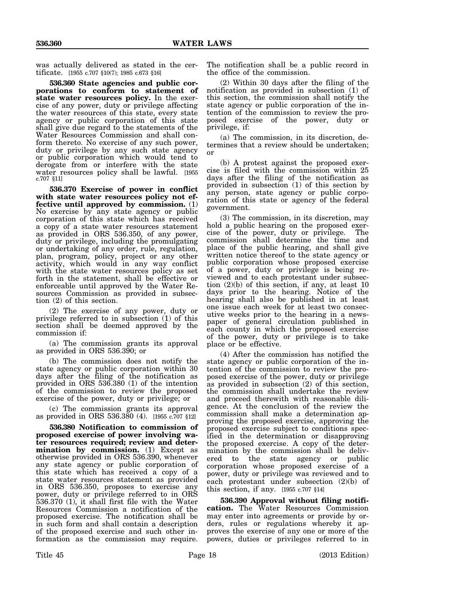was actually delivered as stated in the certificate. [1955 c.707 §10(7); 1985 c.673 §16]

**536.360 State agencies and public corporations to conform to statement of state water resources policy.** In the exercise of any power, duty or privilege affecting the water resources of this state, every state agency or public corporation of this state shall give due regard to the statements of the Water Resources Commission and shall conform thereto. No exercise of any such power, duty or privilege by any such state agency or public corporation which would tend to derogate from or interfere with the state water resources policy shall be lawful. [1955 c.707 §11]

**536.370 Exercise of power in conflict with state water resources policy not effective until approved by commission.** (1) No exercise by any state agency or public corporation of this state which has received a copy of a state water resources statement as provided in ORS 536.350, of any power, duty or privilege, including the promulgating or undertaking of any order, rule, regulation, plan, program, policy, project or any other activity, which would in any way conflict with the state water resources policy as set forth in the statement, shall be effective or enforceable until approved by the Water Resources Commission as provided in subsection (2) of this section.

(2) The exercise of any power, duty or privilege referred to in subsection (1) of this section shall be deemed approved by the commission if:

(a) The commission grants its approval as provided in ORS 536.390; or

(b) The commission does not notify the state agency or public corporation within 30 days after the filing of the notification as provided in ORS 536.380 (1) of the intention of the commission to review the proposed exercise of the power, duty or privilege; or

(c) The commission grants its approval as provided in ORS 536.380 (4). [1955 c.707 §12]

**536.380 Notification to commission of proposed exercise of power involving water resources required; review and determination by commission.** (1) Except as otherwise provided in ORS 536.390, whenever any state agency or public corporation of this state which has received a copy of a state water resources statement as provided in ORS 536.350, proposes to exercise any power, duty or privilege referred to in ORS 536.370 (1), it shall first file with the Water Resources Commission a notification of the proposed exercise. The notification shall be in such form and shall contain a description of the proposed exercise and such other information as the commission may require.

The notification shall be a public record in the office of the commission.

(2) Within 30 days after the filing of the notification as provided in subsection (1) of this section, the commission shall notify the state agency or public corporation of the intention of the commission to review the proposed exercise of the power, duty or privilege, if:

(a) The commission, in its discretion, determines that a review should be undertaken; or

(b) A protest against the proposed exercise is filed with the commission within 25 days after the filing of the notification as provided in subsection (1) of this section by any person, state agency or public corporation of this state or agency of the federal government.

(3) The commission, in its discretion, may hold a public hearing on the proposed exercise of the power, duty or privilege. The commission shall determine the time and place of the public hearing, and shall give written notice thereof to the state agency or public corporation whose proposed exercise of a power, duty or privilege is being reviewed and to each protestant under subsection  $(2)(b)$  of this section, if any, at least 10 days prior to the hearing. Notice of the hearing shall also be published in at least one issue each week for at least two consecutive weeks prior to the hearing in a newspaper of general circulation published in each county in which the proposed exercise of the power, duty or privilege is to take place or be effective.

(4) After the commission has notified the state agency or public corporation of the intention of the commission to review the proposed exercise of the power, duty or privilege as provided in subsection (2) of this section, the commission shall undertake the review and proceed therewith with reasonable diligence. At the conclusion of the review the commission shall make a determination approving the proposed exercise, approving the proposed exercise subject to conditions specified in the determination or disapproving the proposed exercise. A copy of the determination by the commission shall be delivered to the state agency or public corporation whose proposed exercise of a power, duty or privilege was reviewed and to each protestant under subsection (2)(b) of this section, if any.  $[1955 \text{ c} \cdot 707 \text{ §}14]$ 

**536.390 Approval without filing notification.** The Water Resources Commission may enter into agreements or provide by orders, rules or regulations whereby it approves the exercise of any one or more of the powers, duties or privileges referred to in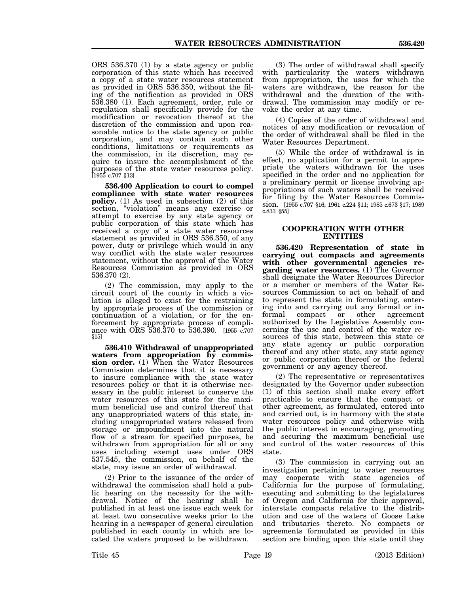ORS 536.370 (1) by a state agency or public corporation of this state which has received a copy of a state water resources statement as provided in ORS 536.350, without the filing of the notification as provided in ORS 536.380 (1). Each agreement, order, rule or regulation shall specifically provide for the modification or revocation thereof at the discretion of the commission and upon reasonable notice to the state agency or public corporation, and may contain such other conditions, limitations or requirements as the commission, in its discretion, may require to insure the accomplishment of the purposes of the state water resources policy. [1955 c.707 §13]

**536.400 Application to court to compel compliance with state water resources policy.** (1) As used in subsection (2) of this section, "violation" means any exercise or attempt to exercise by any state agency or public corporation of this state which has received a copy of a state water resources statement as provided in ORS 536.350, of any power, duty or privilege which would in any way conflict with the state water resources statement, without the approval of the Water Resources Commission as provided in ORS 536.370 (2).

(2) The commission, may apply to the circuit court of the county in which a violation is alleged to exist for the restraining by appropriate process of the commission or continuation of a violation, or for the enforcement by appropriate process of compliance with ORS 536.370 to 536.390. [1955 c.707 §15]

**536.410 Withdrawal of unappropriated waters from appropriation by commission order.** (1) When the Water Resources Commission determines that it is necessary to insure compliance with the state water resources policy or that it is otherwise necessary in the public interest to conserve the water resources of this state for the maximum beneficial use and control thereof that any unappropriated waters of this state, including unappropriated waters released from storage or impoundment into the natural flow of a stream for specified purposes, be withdrawn from appropriation for all or any uses including exempt uses under ORS 537.545, the commission, on behalf of the state, may issue an order of withdrawal.

(2) Prior to the issuance of the order of withdrawal the commission shall hold a public hearing on the necessity for the withdrawal. Notice of the hearing shall be published in at least one issue each week for at least two consecutive weeks prior to the hearing in a newspaper of general circulation published in each county in which are located the waters proposed to be withdrawn.

(3) The order of withdrawal shall specify with particularity the waters withdrawn from appropriation, the uses for which the waters are withdrawn, the reason for the withdrawal and the duration of the withdrawal. The commission may modify or revoke the order at any time.

(4) Copies of the order of withdrawal and notices of any modification or revocation of the order of withdrawal shall be filed in the Water Resources Department.

(5) While the order of withdrawal is in effect, no application for a permit to appropriate the waters withdrawn for the uses specified in the order and no application for a preliminary permit or license involving appropriations of such waters shall be received for filing by the Water Resources Commission. [1955 c.707 §16; 1961 c.224 §11; 1985 c.673 §17; 1989 c.833 §55]

## **COOPERATION WITH OTHER ENTITIES**

**536.420 Representation of state in carrying out compacts and agreements with other governmental agencies regarding water resources.** (1) The Governor shall designate the Water Resources Director or a member or members of the Water Resources Commission to act on behalf of and to represent the state in formulating, entering into and carrying out any formal or informal compact or other agreement authorized by the Legislative Assembly concerning the use and control of the water resources of this state, between this state or any state agency or public corporation thereof and any other state, any state agency or public corporation thereof or the federal government or any agency thereof.

(2) The representative or representatives designated by the Governor under subsection (1) of this section shall make every effort practicable to ensure that the compact or other agreement, as formulated, entered into and carried out, is in harmony with the state water resources policy and otherwise with the public interest in encouraging, promoting and securing the maximum beneficial use and control of the water resources of this state.

(3) The commission in carrying out an investigation pertaining to water resources may cooperate with state agencies of California for the purpose of formulating, executing and submitting to the legislatures of Oregon and California for their approval, interstate compacts relative to the distribution and use of the waters of Goose Lake and tributaries thereto. No compacts or agreements formulated as provided in this section are binding upon this state until they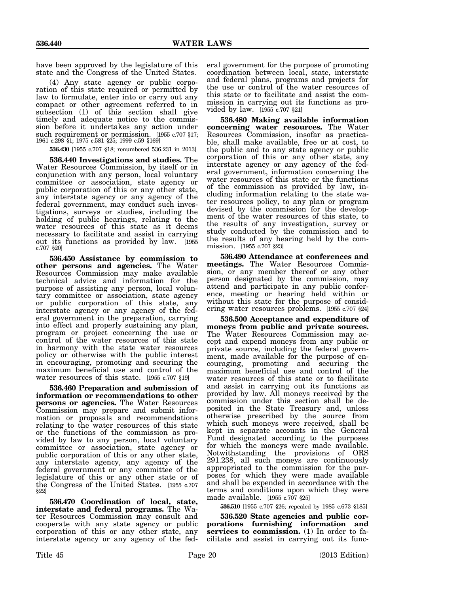have been approved by the legislature of this state and the Congress of the United States.

(4) Any state agency or public corporation of this state required or permitted by law to formulate, enter into or carry out any compact or other agreement referred to in subsection (1) of this section shall give timely and adequate notice to the commission before it undertakes any action under such requirement or permission. [1955 c.707 §17; 1961 c.298 §1; 1975 c.581 §25; 1999 c.59 §169]

**536.430** [1955 c.707 §18; renumbered 536.231 in 2013]

**536.440 Investigations and studies.** The Water Resources Commission, by itself or in conjunction with any person, local voluntary committee or association, state agency or public corporation of this or any other state, any interstate agency or any agency of the federal government, may conduct such investigations, surveys or studies, including the holding of public hearings, relating to the water resources of this state as it deems necessary to facilitate and assist in carrying out its functions as provided by law. [1955 c.707 §20]

**536.450 Assistance by commission to other persons and agencies.** The Water Resources Commission may make available technical advice and information for the purpose of assisting any person, local voluntary committee or association, state agency or public corporation of this state, any interstate agency or any agency of the federal government in the preparation, carrying into effect and properly sustaining any plan, program or project concerning the use or control of the water resources of this state in harmony with the state water resources policy or otherwise with the public interest in encouraging, promoting and securing the maximum beneficial use and control of the water resources of this state. [1955 c.707 §19]

**536.460 Preparation and submission of information or recommendations to other persons or agencies.** The Water Resources Commission may prepare and submit information or proposals and recommendations relating to the water resources of this state or the functions of the commission as provided by law to any person, local voluntary committee or association, state agency or public corporation of this or any other state, any interstate agency, any agency of the federal government or any committee of the legislature of this or any other state or of the Congress of the United States. [1955 c.707 §22]

**536.470 Coordination of local, state, interstate and federal programs.** The Water Resources Commission may consult and cooperate with any state agency or public corporation of this or any other state, any interstate agency or any agency of the federal government for the purpose of promoting coordination between local, state, interstate and federal plans, programs and projects for the use or control of the water resources of this state or to facilitate and assist the commission in carrying out its functions as provided by law. [1955 c.707 §21]

**536.480 Making available information concerning water resources.** The Water Resources Commission, insofar as practicable, shall make available, free or at cost, to the public and to any state agency or public corporation of this or any other state, any interstate agency or any agency of the federal government, information concerning the water resources of this state or the functions of the commission as provided by law, including information relating to the state water resources policy, to any plan or program devised by the commission for the development of the water resources of this state, to the results of any investigation, survey or study conducted by the commission and to the results of any hearing held by the commission. [1955 c.707 §23]

**536.490 Attendance at conferences and meetings.** The Water Resources Commission, or any member thereof or any other person designated by the commission, may attend and participate in any public conference, meeting or hearing held within or without this state for the purpose of considering water resources problems. [1955 c.707 §24]

**536.500 Acceptance and expenditure of moneys from public and private sources.** The Water Resources Commission may accept and expend moneys from any public or private source, including the federal government, made available for the purpose of encouraging, promoting and securing the maximum beneficial use and control of the water resources of this state or to facilitate and assist in carrying out its functions as provided by law. All moneys received by the commission under this section shall be deposited in the State Treasury and, unless otherwise prescribed by the source from which such moneys were received, shall be kept in separate accounts in the General Fund designated according to the purposes for which the moneys were made available. Notwithstanding the provisions of ORS 291.238, all such moneys are continuously appropriated to the commission for the purposes for which they were made available and shall be expended in accordance with the terms and conditions upon which they were made available. [1955 c.707 §25]

**536.510** [1955 c.707 §26; repealed by 1985 c.673 §185]

**536.520 State agencies and public corporations furnishing information and services to commission.** (1) In order to facilitate and assist in carrying out its func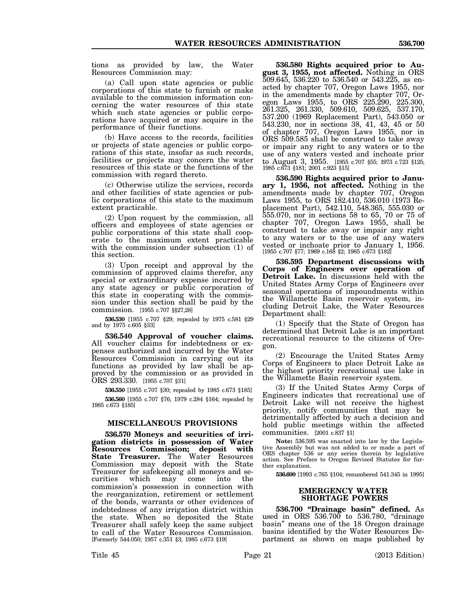tions as provided by law, the Water Resources Commission may:

(a) Call upon state agencies or public corporations of this state to furnish or make available to the commission information concerning the water resources of this state which such state agencies or public corporations have acquired or may acquire in the performance of their functions.

(b) Have access to the records, facilities or projects of state agencies or public corporations of this state, insofar as such records, facilities or projects may concern the water resources of this state or the functions of the commission with regard thereto.

(c) Otherwise utilize the services, records and other facilities of state agencies or public corporations of this state to the maximum extent practicable.

(2) Upon request by the commission, all officers and employees of state agencies or public corporations of this state shall cooperate to the maximum extent practicable with the commission under subsection (1) of this section.

(3) Upon receipt and approval by the commission of approved claims therefor, any special or extraordinary expense incurred by any state agency or public corporation of this state in cooperating with the commission under this section shall be paid by the commission. [1955 c.707 §§27,28]

**536.530** [1955 c.707 §29; repealed by 1975 c.581 §29 and by 1975 c.605 §33]

**536.540 Approval of voucher claims.** All voucher claims for indebtedness or expenses authorized and incurred by the Water Resources Commission in carrying out its functions as provided by law shall be approved by the commission or as provided in ORS 293.330. [1955 c.707 §31]

**536.550** [1955 c.707 §30; repealed by 1985 c.673 §185] **536.560** [1955 c.707 §76; 1979 c.284 §164; repealed by 1985 c.673 §185]

### **MISCELLANEOUS PROVISIONS**

**536.570 Moneys and securities of irrigation districts in possession of Water Resources Commission; deposit with State Treasurer.** The Water Resources Commission may deposit with the State Treasurer for safekeeping all moneys and securities which may come into the commission's possession in connection with the reorganization, retirement or settlement of the bonds, warrants or other evidences of indebtedness of any irrigation district within the state. When so deposited the State Treasurer shall safely keep the same subject to call of the Water Resources Commission. [Formerly 544.050; 1957 c.351 §3; 1985 c.673 §19]

**536.580 Rights acquired prior to August 3, 1955, not affected.** Nothing in ORS 509.645, 536.220 to 536.540 or 543.225, as enacted by chapter 707, Oregon Laws 1955, nor in the amendments made by chapter 707, Oregon Laws 1955, to ORS 225.290, 225.300, 261.325, 261.330, 509.610, 509.625, 537.170, 537.200 (1969 Replacement Part), 543.050 or 543.230, nor in sections 38, 41, 43, 45 or 50 of chapter 707, Oregon Laws 1955, nor in ORS 509.585 shall be construed to take away or impair any right to any waters or to the use of any waters vested and inchoate prior to August 3, 1955. [1955 c.707 §55; 1973 c.723 §125; 1985 c.673 §181; 2001 c.923 §15]

**536.590 Rights acquired prior to January 1, 1956, not affected.** Nothing in the amendments made by chapter 707, Oregon Laws 1955, to ORS 182.410, 536.010 (1973 Replacement Part), 542.110, 548.365, 555.030 or 555.070, nor in sections 58 to 65, 70 or 75 of chapter 707, Oregon Laws 1955, shall be construed to take away or impair any right to any waters or to the use of any waters vested or inchoate prior to January 1, 1956. [1955 c.707 §77; 1969 c.168 §2; 1985 c.673 §182]

**536.595 Department discussions with Corps of Engineers over operation of Detroit Lake.** In discussions held with the United States Army Corps of Engineers over seasonal operations of impoundments within the Willamette Basin reservoir system, including Detroit Lake, the Water Resources Department shall:

(1) Specify that the State of Oregon has determined that Detroit Lake is an important recreational resource to the citizens of Oregon.

(2) Encourage the United States Army Corps of Engineers to place Detroit Lake as the highest priority recreational use lake in the Willamette Basin reservoir system.

(3) If the United States Army Corps of Engineers indicates that recreational use of Detroit Lake will not receive the highest priority, notify communities that may be detrimentally affected by such a decision and hold public meetings within the affected communities. [2001 c.837 §1]

**Note:** 536.595 was enacted into law by the Legislative Assembly but was not added to or made a part of ORS chapter 536 or any series therein by legislative action. See Preface to Oregon Revised Statutes for further explanation.

**536.600** [1993 c.765 §104; renumbered 541.345 in 1995]

## **EMERGENCY WATER SHORTAGE POWERS**

**536.700 "Drainage basin" defined.** As used in ORS 536.700 to 536.780, "drainage basin" means one of the 18 Oregon drainage basins identified by the Water Resources Department as shown on maps published by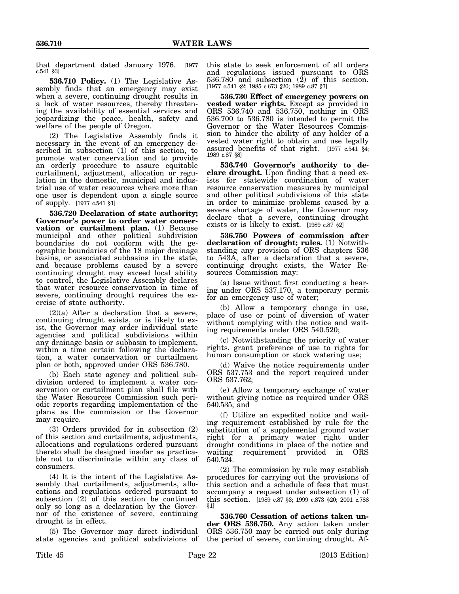that department dated January 1976. [1977 c.541 §3]

**536.710 Policy.** (1) The Legislative Assembly finds that an emergency may exist when a severe, continuing drought results in a lack of water resources, thereby threatening the availability of essential services and jeopardizing the peace, health, safety and welfare of the people of Oregon.

(2) The Legislative Assembly finds it necessary in the event of an emergency described in subsection (1) of this section, to promote water conservation and to provide an orderly procedure to assure equitable curtailment, adjustment, allocation or regulation in the domestic, municipal and industrial use of water resources where more than one user is dependent upon a single source of supply. [1977 c.541 §1]

**536.720 Declaration of state authority; Governor's power to order water conservation or curtailment plan.** (1) Because municipal and other political subdivision boundaries do not conform with the geographic boundaries of the 18 major drainage basins, or associated subbasins in the state, and because problems caused by a severe continuing drought may exceed local ability to control, the Legislative Assembly declares that water resource conservation in time of severe, continuing drought requires the exercise of state authority.

 $(2)(a)$  After a declaration that a severe, continuing drought exists, or is likely to exist, the Governor may order individual state agencies and political subdivisions within any drainage basin or subbasin to implement, within a time certain following the declaration, a water conservation or curtailment plan or both, approved under ORS 536.780.

(b) Each state agency and political subdivision ordered to implement a water conservation or curtailment plan shall file with the Water Resources Commission such periodic reports regarding implementation of the plans as the commission or the Governor may require.

(3) Orders provided for in subsection (2) of this section and curtailments, adjustments, allocations and regulations ordered pursuant thereto shall be designed insofar as practicable not to discriminate within any class of consumers.

(4) It is the intent of the Legislative Assembly that curtailments, adjustments, allocations and regulations ordered pursuant to subsection (2) of this section be continued only so long as a declaration by the Governor of the existence of severe, continuing drought is in effect.

(5) The Governor may direct individual state agencies and political subdivisions of this state to seek enforcement of all orders and regulations issued pursuant to ORS  $536.780$  and subsection  $(2)$  of this section. [1977 c.541 §2; 1985 c.673 §20; 1989 c.87 §7]

**536.730 Effect of emergency powers on vested water rights.** Except as provided in ORS 536.740 and 536.750, nothing in ORS 536.700 to 536.780 is intended to permit the Governor or the Water Resources Commission to hinder the ability of any holder of a vested water right to obtain and use legally assured benefits of that right. [1977 c.541 §4; 1989 c.87 §8]

**536.740 Governor's authority to declare drought.** Upon finding that a need exists for statewide coordination of water resource conservation measures by municipal and other political subdivisions of this state in order to minimize problems caused by a severe shortage of water, the Governor may declare that a severe, continuing drought exists or is likely to exist. [1989 c.87 §2]

**536.750 Powers of commission after declaration of drought; rules.** (1) Notwithstanding any provision of ORS chapters 536 to 543A, after a declaration that a severe, continuing drought exists, the Water Resources Commission may:

(a) Issue without first conducting a hearing under ORS 537.170, a temporary permit for an emergency use of water;

(b) Allow a temporary change in use, place of use or point of diversion of water without complying with the notice and waiting requirements under ORS 540.520;

(c) Notwithstanding the priority of water rights, grant preference of use to rights for human consumption or stock watering use;

(d) Waive the notice requirements under ORS 537.753 and the report required under ORS 537.762;

(e) Allow a temporary exchange of water without giving notice as required under ORS 540.535; and

(f) Utilize an expedited notice and waiting requirement established by rule for the substitution of a supplemental ground water right for a primary water right under drought conditions in place of the notice and<br>waiting requirement provided in ORS requirement provided in ORS 540.524.

(2) The commission by rule may establish procedures for carrying out the provisions of this section and a schedule of fees that must accompany a request under subsection (1) of this section. [1989 c.87 §3; 1999 c.873 §20; 2001 c.788 §1]

**536.760 Cessation of actions taken under ORS 536.750.** Any action taken under ORS 536.750 may be carried out only during the period of severe, continuing drought. Af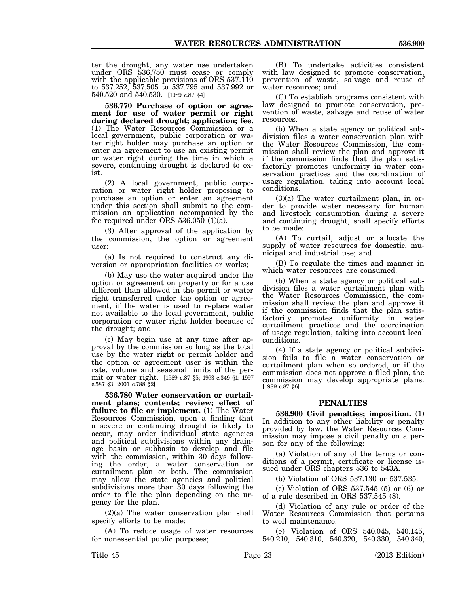ter the drought, any water use undertaken under ORS 536.750 must cease or comply with the applicable provisions of ORS 537.110 to 537.252, 537.505 to 537.795 and 537.992 or 540.520 and 540.530. [1989 c.87 §4]

**536.770 Purchase of option or agreement for use of water permit or right during declared drought; application; fee.** (1) The Water Resources Commission or a local government, public corporation or water right holder may purchase an option or enter an agreement to use an existing permit or water right during the time in which a severe, continuing drought is declared to exist.

(2) A local government, public corporation or water right holder proposing to purchase an option or enter an agreement under this section shall submit to the commission an application accompanied by the fee required under ORS 536.050 (1)(a).

(3) After approval of the application by the commission, the option or agreement user:

(a) Is not required to construct any diversion or appropriation facilities or works;

(b) May use the water acquired under the option or agreement on property or for a use different than allowed in the permit or water right transferred under the option or agreement, if the water is used to replace water not available to the local government, public corporation or water right holder because of the drought; and

(c) May begin use at any time after approval by the commission so long as the total use by the water right or permit holder and the option or agreement user is within the rate, volume and seasonal limits of the permit or water right. [1989 c.87 §5; 1993 c.349 §1; 1997 c.587 §3; 2001 c.788 §2]

**536.780 Water conservation or curtailment plans; contents; review; effect of failure to file or implement.** (1) The Water Resources Commission, upon a finding that a severe or continuing drought is likely to occur, may order individual state agencies and political subdivisions within any drainage basin or subbasin to develop and file with the commission, within 30 days following the order, a water conservation or curtailment plan or both. The commission may allow the state agencies and political subdivisions more than 30 days following the order to file the plan depending on the urgency for the plan.

(2)(a) The water conservation plan shall specify efforts to be made:

(A) To reduce usage of water resources for nonessential public purposes;

(B) To undertake activities consistent with law designed to promote conservation, prevention of waste, salvage and reuse of water resources; and

(C) To establish programs consistent with law designed to promote conservation, prevention of waste, salvage and reuse of water resources.

(b) When a state agency or political subdivision files a water conservation plan with the Water Resources Commission, the commission shall review the plan and approve it if the commission finds that the plan satisfactorily promotes uniformity in water conservation practices and the coordination of usage regulation, taking into account local conditions.

(3)(a) The water curtailment plan, in order to provide water necessary for human and livestock consumption during a severe and continuing drought, shall specify efforts to be made:

(A) To curtail, adjust or allocate the supply of water resources for domestic, municipal and industrial use; and

(B) To regulate the times and manner in which water resources are consumed.

(b) When a state agency or political subdivision files a water curtailment plan with the Water Resources Commission, the commission shall review the plan and approve it if the commission finds that the plan satisfactorily promotes uniformity in water curtailment practices and the coordination of usage regulation, taking into account local conditions.

(4) If a state agency or political subdivision fails to file a water conservation or curtailment plan when so ordered, or if the commission does not approve a filed plan, the commission may develop appropriate plans. [1989 c.87 §6]

### **PENALTIES**

**536.900 Civil penalties; imposition.** (1) In addition to any other liability or penalty provided by law, the Water Resources Commission may impose a civil penalty on a person for any of the following:

(a) Violation of any of the terms or conditions of a permit, certificate or license issued under ORS chapters 536 to 543A.

(b) Violation of ORS 537.130 or 537.535.

(c) Violation of ORS 537.545 (5) or (6) or of a rule described in ORS 537.545 (8).

(d) Violation of any rule or order of the Water Resources Commission that pertains to well maintenance.

(e) Violation of ORS 540.045, 540.145, 540.210, 540.310, 540.320, 540.330, 540.340,